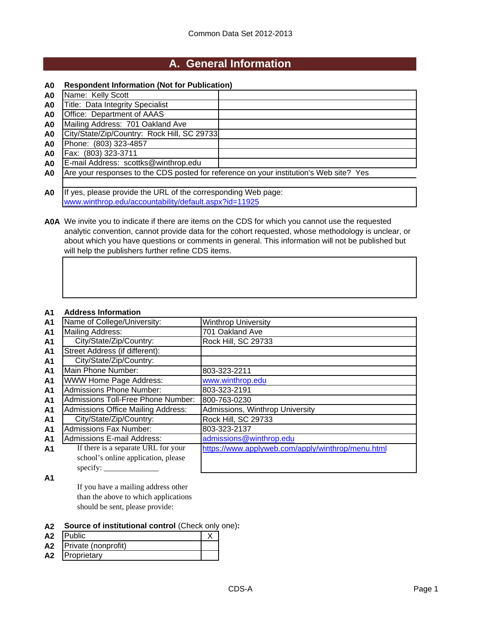## **A. General Information**

#### **A0 Respondent Information (Not for Publication)**

| A <sub>0</sub> | Name: Kelly Scott                                                                      |  |
|----------------|----------------------------------------------------------------------------------------|--|
| A0             | Title: Data Integrity Specialist                                                       |  |
| A0             | Office: Department of AAAS                                                             |  |
| A0             | Mailing Address: 701 Oakland Ave                                                       |  |
| A0             | City/State/Zip/Country: Rock Hill, SC 29733                                            |  |
| A0             | Phone: (803) 323-4857                                                                  |  |
| A <sub>0</sub> | Fax: (803) 323-3711                                                                    |  |
| A0             | E-mail Address: scottks@winthrop.edu                                                   |  |
| A0             | Are your responses to the CDS posted for reference on your institution's Web site? Yes |  |
|                |                                                                                        |  |

**A0** If yes, please provide the URL of the corresponding Web page: www.winthrop.edu/accountability/default.aspx?id=11925

**A0A** We invite you to indicate if there are items on the CDS for which you cannot use the requested analytic convention, cannot provide data for the cohort requested, whose methodology is unclear, or about which you have questions or comments in general. This information will not be published but will help the publishers further refine CDS items.

#### **A1 Address Information**

| <b>A1</b>      | Name of College/University:               | <b>Winthrop University</b>                        |
|----------------|-------------------------------------------|---------------------------------------------------|
| A <sub>1</sub> | Mailing Address:                          | 701 Oakland Ave                                   |
| A <sub>1</sub> | City/State/Zip/Country:                   | Rock Hill, SC 29733                               |
| A <sub>1</sub> | Street Address (if different):            |                                                   |
| A <sub>1</sub> | City/State/Zip/Country:                   |                                                   |
| A <sub>1</sub> | Main Phone Number:                        | 803-323-2211                                      |
| A <sub>1</sub> | <b>WWW Home Page Address:</b>             | www.winthrop.edu                                  |
| A <sub>1</sub> | <b>Admissions Phone Number:</b>           | 803-323-2191                                      |
| A <sub>1</sub> | Admissions Toll-Free Phone Number:        | 800-763-0230                                      |
| A <sub>1</sub> | <b>Admissions Office Mailing Address:</b> | Admissions, Winthrop University                   |
| A <sub>1</sub> | City/State/Zip/Country:                   | Rock Hill, SC 29733                               |
| A <sub>1</sub> | <b>Admissions Fax Number:</b>             | 803-323-2137                                      |
| A <sub>1</sub> | <b>Admissions E-mail Address:</b>         | admissions@winthrop.edu                           |
| A <sub>1</sub> | If there is a separate URL for your       | https://www.applyweb.com/apply/winthrop/menu.html |
|                | school's online application, please       |                                                   |
|                | specify: $\overline{\phantom{a}}$         |                                                   |

**A1**

If you have a mailing address other than the above to which applications should be sent, please provide:

#### **A2 Source of institutional control** (Check only one)**:**

| A <sub>2</sub> | <b>Public</b>       |  |
|----------------|---------------------|--|
| A2             | Private (nonprofit) |  |
| A <sub>2</sub> | <b>IProprietary</b> |  |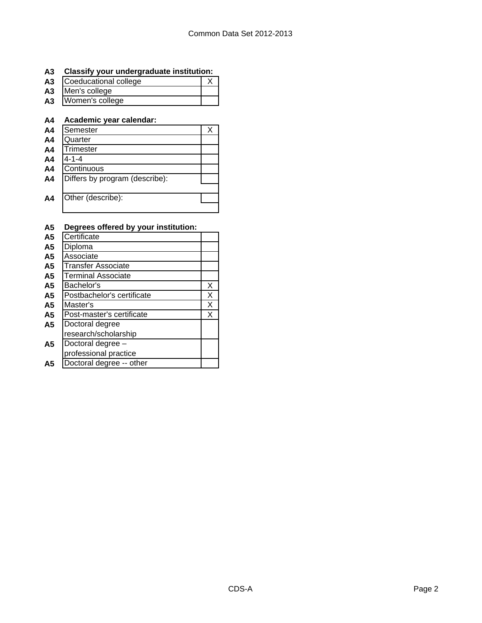## **A3 Classify your undergraduate institution:**

| A3 | Coeducational college |  |
|----|-----------------------|--|
|    | A3 Men's college      |  |
|    | A3 Women's college    |  |

## **A4 Academic year calendar:**

| A <sub>4</sub> | Semester                       |  |
|----------------|--------------------------------|--|
| A <sub>4</sub> | Quarter                        |  |
| A <sub>4</sub> | Trimester                      |  |
| A <sub>4</sub> | 4-1-4                          |  |
| A <sub>4</sub> | Continuous                     |  |
| A <sub>4</sub> | Differs by program (describe): |  |
|                |                                |  |
| A4             | Other (describe):              |  |
|                |                                |  |

| mυ             | Degrees offered by your matriculum. |   |
|----------------|-------------------------------------|---|
| A <sub>5</sub> | Certificate                         |   |
| A5             | Diploma                             |   |
| A5             | Associate                           |   |
| A5             | Transfer Associate                  |   |
| A5             | <b>Terminal Associate</b>           |   |
| A5             | Bachelor's                          | Χ |
| A5             | Postbachelor's certificate          | Х |
| A5             | Master's                            | X |
| A5             | Post-master's certificate           | Χ |
| A <sub>5</sub> | Doctoral degree                     |   |
|                | research/scholarship                |   |
| Α5             | Doctoral degree -                   |   |
|                | professional practice               |   |
| А5             | Doctoral degree -- other            |   |
|                |                                     |   |

## **A5 Degrees offered by your institution:**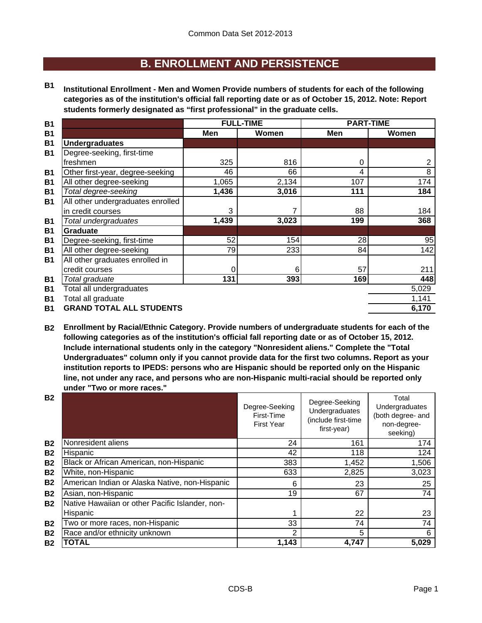## **B. ENROLLMENT AND PERSISTENCE**

**B1 Institutional Enrollment - Men and Women Provide numbers of students for each of the following categories as of the institution's official fall reporting date or as of October 15, 2012. Note: Report students formerly designated as "first professional" in the graduate cells.**

| <b>B1</b> |                                   | <b>FULL-TIME</b> |       | <b>PART-TIME</b> |       |  |
|-----------|-----------------------------------|------------------|-------|------------------|-------|--|
| <b>B1</b> |                                   | Men              | Women | Men              | Women |  |
| <b>B1</b> | <b>Undergraduates</b>             |                  |       |                  |       |  |
| <b>B1</b> | Degree-seeking, first-time        |                  |       |                  |       |  |
|           | freshmen                          | 325              | 816   | 0                | 2     |  |
| <b>B1</b> | Other first-year, degree-seeking  | 46               | 66    | 4                | 8     |  |
| <b>B1</b> | All other degree-seeking          | 1,065            | 2,134 | 107              | 174   |  |
| <b>B1</b> | Total degree-seeking              | 1,436            | 3,016 | 111              | 184   |  |
| <b>B1</b> | All other undergraduates enrolled |                  |       |                  |       |  |
|           | in credit courses                 | 3                | 7     | 88               | 184   |  |
| <b>B1</b> | Total undergraduates              | 1,439            | 3,023 | 199              | 368   |  |
| <b>B1</b> | <b>Graduate</b>                   |                  |       |                  |       |  |
| <b>B1</b> | Degree-seeking, first-time        | 52               | 154   | 28               | 95    |  |
| <b>B1</b> | All other degree-seeking          | 79               | 233   | 84               | 142   |  |
| <b>B1</b> | All other graduates enrolled in   |                  |       |                  |       |  |
|           | credit courses                    | 0                | 6     | 57               | 211   |  |
| <b>B1</b> | Total graduate                    | 131              | 393   | 169              | 448   |  |
| <b>B1</b> | Total all undergraduates          |                  |       |                  | 5,029 |  |
| <b>B1</b> | Total all graduate                |                  |       |                  | 1,141 |  |
| <b>B1</b> | <b>GRAND TOTAL ALL STUDENTS</b>   |                  |       |                  | 6,170 |  |
|           |                                   |                  |       |                  |       |  |

**B2 Enrollment by Racial/Ethnic Category. Provide numbers of undergraduate students for each of the following categories as of the institution's official fall reporting date or as of October 15, 2012. Include international students only in the category "Nonresident aliens." Complete the "Total Undergraduates" column only if you cannot provide data for the first two columns. Report as your institution reports to IPEDS: persons who are Hispanic should be reported only on the Hispanic line, not under any race, and persons who are non-Hispanic multi-racial should be reported only under "Two or more races."** 

| <b>B2</b> |                                                 | Degree-Seeking<br>First-Time<br><b>First Year</b> | Degree-Seeking<br>Undergraduates<br>(include first-time<br>first-year) | Total<br>Undergraduates<br>(both degree- and<br>non-degree-<br>seeking) |
|-----------|-------------------------------------------------|---------------------------------------------------|------------------------------------------------------------------------|-------------------------------------------------------------------------|
| <b>B2</b> | Nonresident aliens                              | 24                                                | 161                                                                    | 174                                                                     |
| <b>B2</b> | Hispanic                                        | 42                                                | 118                                                                    | 124                                                                     |
| <b>B2</b> | Black or African American, non-Hispanic         | 383                                               | 1,452                                                                  | 1,506                                                                   |
| <b>B2</b> | White, non-Hispanic                             | 633                                               | 2,825                                                                  | 3,023                                                                   |
| <b>B2</b> | American Indian or Alaska Native, non-Hispanic  | 6                                                 | 23                                                                     | 25                                                                      |
| <b>B2</b> | Asian, non-Hispanic                             | 19                                                | 67                                                                     | 74                                                                      |
| <b>B2</b> | Native Hawaiian or other Pacific Islander, non- |                                                   |                                                                        |                                                                         |
|           | Hispanic                                        |                                                   | 22                                                                     | 23                                                                      |
| <b>B2</b> | Two or more races, non-Hispanic                 | 33                                                | 74                                                                     | 74                                                                      |
| <b>B2</b> | Race and/or ethnicity unknown                   | 2                                                 | 5                                                                      | 6                                                                       |
| <b>B2</b> | <b>TOTAL</b>                                    | 1,143                                             | 4,747                                                                  | 5,029                                                                   |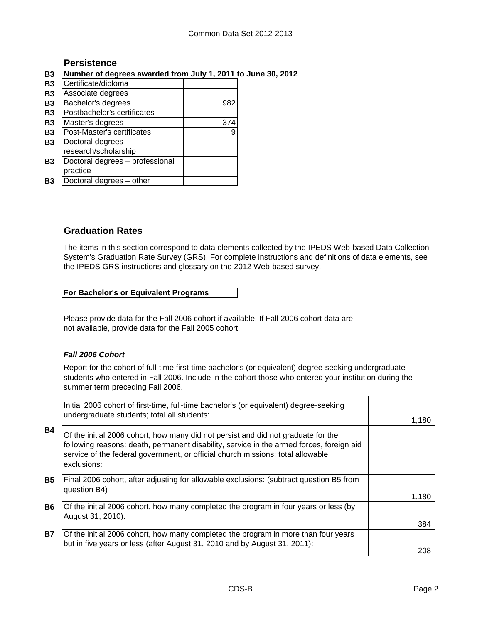## **Persistence**

### **B3 Number of degrees awarded from July 1, 2011 to June 30, 2012**

| <b>B3</b> | Certificate/diploma             |     |
|-----------|---------------------------------|-----|
| <b>B3</b> | Associate degrees               |     |
| <b>B3</b> | Bachelor's degrees              | 982 |
| <b>B3</b> | Postbachelor's certificates     |     |
| <b>B3</b> | Master's degrees                | 374 |
| <b>B3</b> | Post-Master's certificates      | 9   |
| <b>B3</b> | Doctoral degrees -              |     |
|           | research/scholarship            |     |
| <b>B3</b> | Doctoral degrees - professional |     |
|           | practice                        |     |
| Β3        | Doctoral degrees - other        |     |

## **Graduation Rates**

The items in this section correspond to data elements collected by the IPEDS Web-based Data Collection System's Graduation Rate Survey (GRS). For complete instructions and definitions of data elements, see the IPEDS GRS instructions and glossary on the 2012 Web-based survey.

#### **For Bachelor's or Equivalent Programs**

Please provide data for the Fall 2006 cohort if available. If Fall 2006 cohort data are not available, provide data for the Fall 2005 cohort.

#### *Fall 2006 Cohort*

Report for the cohort of full-time first-time bachelor's (or equivalent) degree-seeking undergraduate students who entered in Fall 2006. Include in the cohort those who entered your institution during the summer term preceding Fall 2006.

|           | Initial 2006 cohort of first-time, full-time bachelor's (or equivalent) degree-seeking<br>undergraduate students; total all students:                                                                                                                                           |       |
|-----------|---------------------------------------------------------------------------------------------------------------------------------------------------------------------------------------------------------------------------------------------------------------------------------|-------|
|           |                                                                                                                                                                                                                                                                                 | 1,180 |
| <b>B4</b> | Of the initial 2006 cohort, how many did not persist and did not graduate for the<br>following reasons: death, permanent disability, service in the armed forces, foreign aid<br>service of the federal government, or official church missions; total allowable<br>exclusions: |       |
| <b>B5</b> | Final 2006 cohort, after adjusting for allowable exclusions: (subtract question B5 from<br>question B4)                                                                                                                                                                         |       |
|           |                                                                                                                                                                                                                                                                                 | 1,180 |
| <b>B6</b> | Of the initial 2006 cohort, how many completed the program in four years or less (by<br>August 31, 2010):                                                                                                                                                                       |       |
|           |                                                                                                                                                                                                                                                                                 | 384   |
| <b>B7</b> | Of the initial 2006 cohort, how many completed the program in more than four years<br>but in five years or less (after August 31, 2010 and by August 31, 2011):                                                                                                                 |       |
|           |                                                                                                                                                                                                                                                                                 | 208   |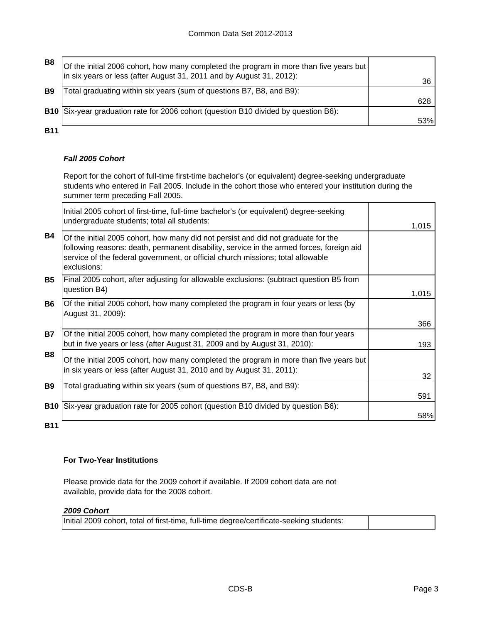| B8             | Of the initial 2006 cohort, how many completed the program in more than five years but |     |
|----------------|----------------------------------------------------------------------------------------|-----|
|                | in six years or less (after August 31, 2011 and by August 31, 2012):                   | 36  |
| B <sub>9</sub> | Total graduating within six years (sum of questions B7, B8, and B9):                   |     |
|                |                                                                                        | 628 |
|                | B10 Six-year graduation rate for 2006 cohort (question B10 divided by question B6):    |     |
|                |                                                                                        | 53% |
| <b>B11</b>     |                                                                                        |     |

#### *Fall 2005 Cohort*

Report for the cohort of full-time first-time bachelor's (or equivalent) degree-seeking undergraduate students who entered in Fall 2005. Include in the cohort those who entered your institution during the summer term preceding Fall 2005.

|            | Initial 2005 cohort of first-time, full-time bachelor's (or equivalent) degree-seeking<br>undergraduate students; total all students:                                                                                                                                           | 1,015 |
|------------|---------------------------------------------------------------------------------------------------------------------------------------------------------------------------------------------------------------------------------------------------------------------------------|-------|
| <b>B4</b>  | Of the initial 2005 cohort, how many did not persist and did not graduate for the<br>following reasons: death, permanent disability, service in the armed forces, foreign aid<br>service of the federal government, or official church missions; total allowable<br>exclusions: |       |
| <b>B5</b>  | Final 2005 cohort, after adjusting for allowable exclusions: (subtract question B5 from<br>question B4)                                                                                                                                                                         | 1,015 |
| B6         | Of the initial 2005 cohort, how many completed the program in four years or less (by<br>August 31, 2009):                                                                                                                                                                       | 366   |
| <b>B7</b>  | Of the initial 2005 cohort, how many completed the program in more than four years<br>but in five years or less (after August 31, 2009 and by August 31, 2010):                                                                                                                 | 193   |
| <b>B8</b>  | Of the initial 2005 cohort, how many completed the program in more than five years but<br>in six years or less (after August 31, 2010 and by August 31, 2011):                                                                                                                  | 32    |
| <b>B9</b>  | Total graduating within six years (sum of questions B7, B8, and B9):                                                                                                                                                                                                            | 591   |
| <b>B10</b> | Six-year graduation rate for 2005 cohort (question B10 divided by question B6):                                                                                                                                                                                                 | 58%   |
| <b>B11</b> |                                                                                                                                                                                                                                                                                 |       |

**For Two-Year Institutions**

Please provide data for the 2009 cohort if available. If 2009 cohort data are not available, provide data for the 2008 cohort.

#### *2009 Cohort*

Initial 2009 cohort, total of first-time, full-time degree/certificate-seeking students: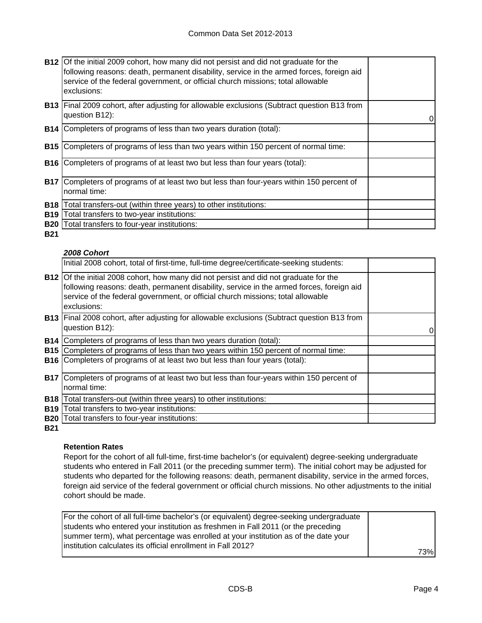|            | <b>B12</b> Of the initial 2009 cohort, how many did not persist and did not graduate for the<br>following reasons: death, permanent disability, service in the armed forces, foreign aid<br>service of the federal government, or official church missions; total allowable<br>exclusions: |  |
|------------|--------------------------------------------------------------------------------------------------------------------------------------------------------------------------------------------------------------------------------------------------------------------------------------------|--|
|            | <b>B13</b> Final 2009 cohort, after adjusting for allowable exclusions (Subtract question B13 from<br>question B12):                                                                                                                                                                       |  |
|            | <b>B14</b> Completers of programs of less than two years duration (total):                                                                                                                                                                                                                 |  |
| <b>B15</b> | Completers of programs of less than two years within 150 percent of normal time:                                                                                                                                                                                                           |  |
|            | <b>B16</b> Completers of programs of at least two but less than four years (total):                                                                                                                                                                                                        |  |
| <b>B17</b> | Completers of programs of at least two but less than four-years within 150 percent of<br>normal time:                                                                                                                                                                                      |  |
| <b>B18</b> | Total transfers-out (within three years) to other institutions:                                                                                                                                                                                                                            |  |
| <b>B19</b> | Total transfers to two-year institutions:                                                                                                                                                                                                                                                  |  |
| <b>B20</b> | Total transfers to four-year institutions:                                                                                                                                                                                                                                                 |  |

**B21**

### *2008 Cohort*

|            | Initial 2008 cohort, total of first-time, full-time degree/certificate-seeking students:                                                                                                                                                                                                   |   |
|------------|--------------------------------------------------------------------------------------------------------------------------------------------------------------------------------------------------------------------------------------------------------------------------------------------|---|
|            | <b>B12</b> Of the initial 2008 cohort, how many did not persist and did not graduate for the<br>following reasons: death, permanent disability, service in the armed forces, foreign aid<br>service of the federal government, or official church missions; total allowable<br>exclusions: |   |
|            | <b>B13</b> Final 2008 cohort, after adjusting for allowable exclusions (Subtract question B13 from<br>question B12):                                                                                                                                                                       | 0 |
|            | B14   Completers of programs of less than two years duration (total):                                                                                                                                                                                                                      |   |
|            | <b>B15</b> Completers of programs of less than two years within 150 percent of normal time:                                                                                                                                                                                                |   |
|            | <b>B16</b> Completers of programs of at least two but less than four years (total):                                                                                                                                                                                                        |   |
|            | <b>B17</b> Completers of programs of at least two but less than four-years within 150 percent of<br>normal time:                                                                                                                                                                           |   |
| <b>B18</b> | Total transfers-out (within three years) to other institutions:                                                                                                                                                                                                                            |   |
|            | <b>B19</b> Total transfers to two-year institutions:                                                                                                                                                                                                                                       |   |
|            | <b>B20</b> Total transfers to four-year institutions:                                                                                                                                                                                                                                      |   |

**B21**

#### **Retention Rates**

Report for the cohort of all full-time, first-time bachelor's (or equivalent) degree-seeking undergraduate students who entered in Fall 2011 (or the preceding summer term). The initial cohort may be adjusted for students who departed for the following reasons: death, permanent disability, service in the armed forces, foreign aid service of the federal government or official church missions. No other adjustments to the initial cohort should be made.

| For the cohort of all full-time bachelor's (or equivalent) degree-seeking undergraduate |      |
|-----------------------------------------------------------------------------------------|------|
| students who entered your institution as freshmen in Fall 2011 (or the preceding        |      |
| summer term), what percentage was enrolled at your institution as of the date your      |      |
| linstitution calculates its official enrollment in Fall 2012?                           |      |
|                                                                                         | 73%l |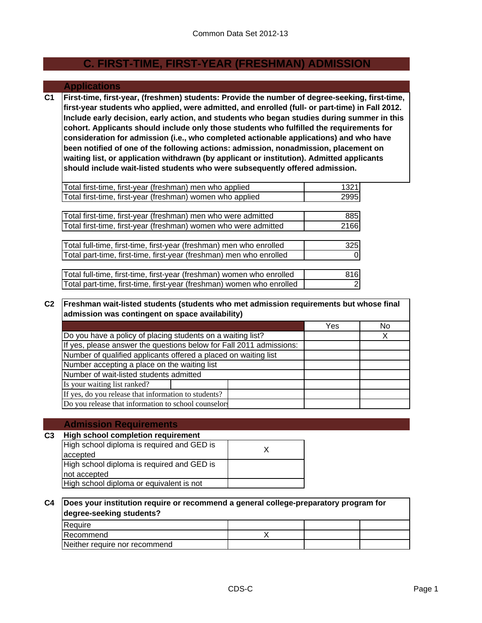## **C. FIRST-TIME, FIRST-YEAR (FRESHMAN) ADMISSION**

#### **Applications**

**C1 First-time, first-year, (freshmen) students: Provide the number of degree-seeking, first-time, first-year students who applied, were admitted, and enrolled (full- or part-time) in Fall 2012. Include early decision, early action, and students who began studies during summer in this cohort. Applicants should include only those students who fulfilled the requirements for consideration for admission (i.e., who completed actionable applications) and who have been notified of one of the following actions: admission, nonadmission, placement on waiting list, or application withdrawn (by applicant or institution). Admitted applicants should include wait-listed students who were subsequently offered admission.**

| Total first-time, first-year (freshman) men who applied               | 1321           |
|-----------------------------------------------------------------------|----------------|
| Total first-time, first-year (freshman) women who applied             | 2995           |
|                                                                       |                |
| [Total first-time, first-year (freshman) men who were admitted        | 885            |
| Total first-time, first-year (freshman) women who were admitted       | 2166           |
|                                                                       |                |
| Total full-time, first-time, first-year (freshman) men who enrolled   | 325            |
| Total part-time, first-time, first-year (freshman) men who enrolled   |                |
|                                                                       |                |
| Total full-time, first-time, first-year (freshman) women who enrolled | 816            |
| Total part-time, first-time, first-year (freshman) women who enrolled | $\overline{2}$ |

#### **C2 Freshman wait-listed students (students who met admission requirements but whose final admission was contingent on space availability)**

| aannoolon wao oommigom on opaoo avanabinty/                         |     |    |  |  |
|---------------------------------------------------------------------|-----|----|--|--|
|                                                                     | Yes | No |  |  |
| Do you have a policy of placing students on a waiting list?         |     |    |  |  |
| If yes, please answer the questions below for Fall 2011 admissions: |     |    |  |  |
| Number of qualified applicants offered a placed on waiting list     |     |    |  |  |
| Number accepting a place on the waiting list                        |     |    |  |  |
| Number of wait-listed students admitted                             |     |    |  |  |
| Is your waiting list ranked?                                        |     |    |  |  |
| If yes, do you release that information to students?                |     |    |  |  |
| Do you release that information to school counselors                |     |    |  |  |

#### **Admission Requirements**

#### **C3 High school completion requirement** X High school diploma is required and GED is not accepted High school diploma or equivalent is not High school diploma is required and GED is accepted

#### **C4 Does your institution require or recommend a general college-preparatory program for degree-seeking students?**

| <b>IRequire</b>               |  |  |
|-------------------------------|--|--|
| <b>IRecommend</b>             |  |  |
| Neither require nor recommend |  |  |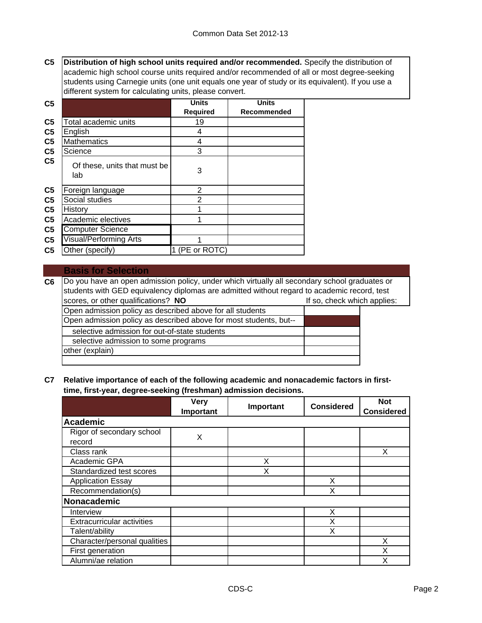**C5 Distribution of high school units required and/or recommended.** Specify the distribution of academic high school course units required and/or recommended of all or most degree-seeking students using Carnegie units (one unit equals one year of study or its equivalent). If you use a different system for calculating units, please convert.

| C <sub>5</sub> |                                     | <b>Units</b>    | <b>Units</b> |
|----------------|-------------------------------------|-----------------|--------------|
|                |                                     | <b>Required</b> | Recommended  |
| C <sub>5</sub> | Total academic units                | 19              |              |
| C <sub>5</sub> | English                             | 4               |              |
| C <sub>5</sub> | <b>Mathematics</b>                  | 4               |              |
| C <sub>5</sub> | Science                             | 3               |              |
| C <sub>5</sub> | Of these, units that must be<br>lab | 3               |              |
| C <sub>5</sub> | Foreign language                    | 2               |              |
| C <sub>5</sub> | Social studies                      | $\mathbf{2}$    |              |
| C <sub>5</sub> | History                             |                 |              |
| C <sub>5</sub> | Academic electives                  |                 |              |
| C <sub>5</sub> | <b>Computer Science</b>             |                 |              |
| C <sub>5</sub> | <b>Visual/Performing Arts</b>       |                 |              |
| C <sub>5</sub> | Other (specify)                     | (PE or ROTC)    |              |

#### **Basis for Selection**

**C6** Open admission policy as described above for all students Open admission policy as described above for most students, but- other (explain) Do you have an open admission policy, under which virtually all secondary school graduates or students with GED equivalency diplomas are admitted without regard to academic record, test scores, or other qualifications? **NO If solutions** or other problems: selective admission for out-of-state students selective admission to some programs

#### **C7 Relative importance of each of the following academic and nonacademic factors in firsttime, first-year, degree-seeking (freshman) admission decisions.**

|                                     | <b>Very</b><br>Important | Important | <b>Considered</b> | <b>Not</b><br><b>Considered</b> |
|-------------------------------------|--------------------------|-----------|-------------------|---------------------------------|
| <b>Academic</b>                     |                          |           |                   |                                 |
| Rigor of secondary school<br>record | X                        |           |                   |                                 |
| Class rank                          |                          |           |                   | X                               |
| Academic GPA                        |                          | x         |                   |                                 |
| Standardized test scores            |                          | х         |                   |                                 |
| <b>Application Essay</b>            |                          |           | X                 |                                 |
| Recommendation(s)                   |                          |           | х                 |                                 |
| Nonacademic                         |                          |           |                   |                                 |
| Interview                           |                          |           | X                 |                                 |
| <b>Extracurricular activities</b>   |                          |           | Χ                 |                                 |
| Talent/ability                      |                          |           | х                 |                                 |
| Character/personal qualities        |                          |           |                   | X                               |
| First generation                    |                          |           |                   | X                               |
| Alumni/ae relation                  |                          |           |                   | Χ                               |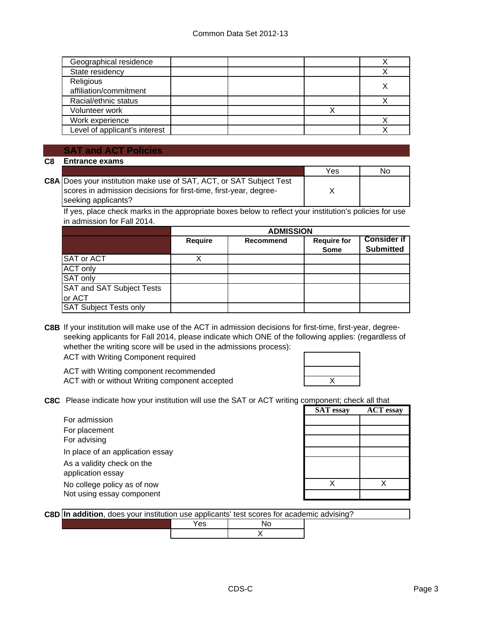| Geographical residence        |  |  |
|-------------------------------|--|--|
| State residency               |  |  |
| Religious                     |  |  |
| affiliation/commitment        |  |  |
| Racial/ethnic status          |  |  |
| Volunteer work                |  |  |
| Work experience               |  |  |
| Level of applicant's interest |  |  |

#### **SAT and ACT Policies**

**C8 Entrance exams** 

|                                                                            | Yes | No |
|----------------------------------------------------------------------------|-----|----|
| <b>C8A</b> Does your institution make use of SAT, ACT, or SAT Subject Test |     |    |
| scores in admission decisions for first-time, first-year, degree-          |     |    |
| seeking applicants?                                                        |     |    |

If yes, place check marks in the appropriate boxes below to reflect your institution's policies for use in admission for Fall 2014.

|                                  | <b>ADMISSION</b> |           |                                   |                                        |
|----------------------------------|------------------|-----------|-----------------------------------|----------------------------------------|
|                                  | <b>Require</b>   | Recommend | <b>Require for</b><br><b>Some</b> | <b>Consider if</b><br><b>Submitted</b> |
| <b>SAT or ACT</b>                |                  |           |                                   |                                        |
| <b>ACT only</b>                  |                  |           |                                   |                                        |
| <b>SAT only</b>                  |                  |           |                                   |                                        |
| <b>SAT and SAT Subject Tests</b> |                  |           |                                   |                                        |
| or ACT                           |                  |           |                                   |                                        |
| <b>SAT Subject Tests only</b>    |                  |           |                                   |                                        |

**C8B** If your institution will make use of the ACT in admission decisions for first-time, first-year, degreeseeking applicants for Fall 2014, please indicate which ONE of the following applies: (regardless of whether the writing score will be used in the admissions process):

ACT with Writing Component required

ACT with Writing component recommended ACT with or without Writing component accepted

| $\mathsf{X}$ |  |
|--------------|--|

**C8C** Please indicate how your institution will use the SAT or ACT writing component; check all that

|                                                          | <b>SAT</b> essay | <b>ACT</b> essay |
|----------------------------------------------------------|------------------|------------------|
| For admission                                            |                  |                  |
| For placement                                            |                  |                  |
| For advising                                             |                  |                  |
| In place of an application essay                         |                  |                  |
| As a validity check on the<br>application essay          |                  |                  |
| No college policy as of now<br>Not using essay component |                  |                  |

|  |  |  | C8D In addition, does your institution use applicants' test scores for academic advising? |  |
|--|--|--|-------------------------------------------------------------------------------------------|--|
|  |  |  |                                                                                           |  |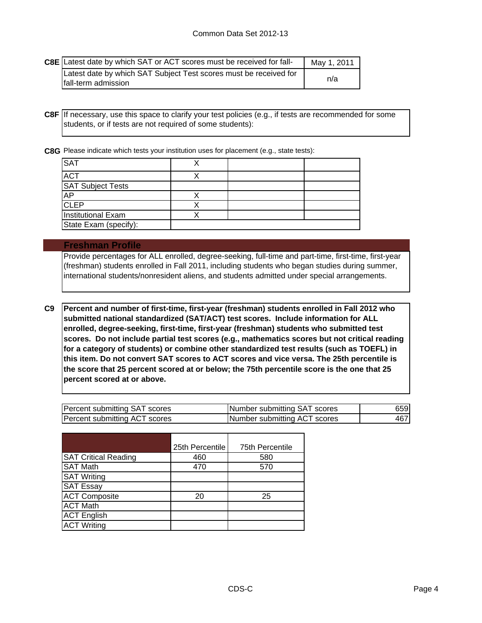| <b>C8E</b> Latest date by which SAT or ACT scores must be received for fall-             | May 1, 2011 |
|------------------------------------------------------------------------------------------|-------------|
| Latest date by which SAT Subject Test scores must be received for<br>fall-term admission | n/a         |

**C8F** If necessary, use this space to clarify your test policies (e.g., if tests are recommended for some students, or if tests are not required of some students):

**C8G** Please indicate which tests your institution uses for placement (e.g., state tests):

| <b>SAT</b>                |  |  |
|---------------------------|--|--|
| <b>ACT</b>                |  |  |
| <b>SAT Subject Tests</b>  |  |  |
| <b>AP</b>                 |  |  |
| <b>CLEP</b>               |  |  |
| <b>Institutional Exam</b> |  |  |
| State Exam (specify):     |  |  |

#### **Freshman Profile**

Provide percentages for ALL enrolled, degree-seeking, full-time and part-time, first-time, first-year (freshman) students enrolled in Fall 2011, including students who began studies during summer, international students/nonresident aliens, and students admitted under special arrangements.

**C9 Percent and number of first-time, first-year (freshman) students enrolled in Fall 2012 who submitted national standardized (SAT/ACT) test scores. Include information for ALL enrolled, degree-seeking, first-time, first-year (freshman) students who submitted test scores. Do not include partial test scores (e.g., mathematics scores but not critical reading for a category of students) or combine other standardized test results (such as TOEFL) in this item. Do not convert SAT scores to ACT scores and vice versa. The 25th percentile is the score that 25 percent scored at or below; the 75th percentile score is the one that 25 percent scored at or above.**

| Percent submitting SAT scores | Number submitting SAT scores | 659l |
|-------------------------------|------------------------------|------|
| Percent submitting ACT scores | Number submitting ACT scores | 467  |

|                             | 25th Percentile | 75th Percentile |
|-----------------------------|-----------------|-----------------|
| <b>SAT Critical Reading</b> | 460             | 580             |
| <b>SAT Math</b>             | 470             | 570             |
| <b>SAT Writing</b>          |                 |                 |
| <b>SAT Essay</b>            |                 |                 |
| <b>ACT Composite</b>        | 20              | 25              |
| <b>ACT Math</b>             |                 |                 |
| <b>ACT English</b>          |                 |                 |
| <b>ACT Writing</b>          |                 |                 |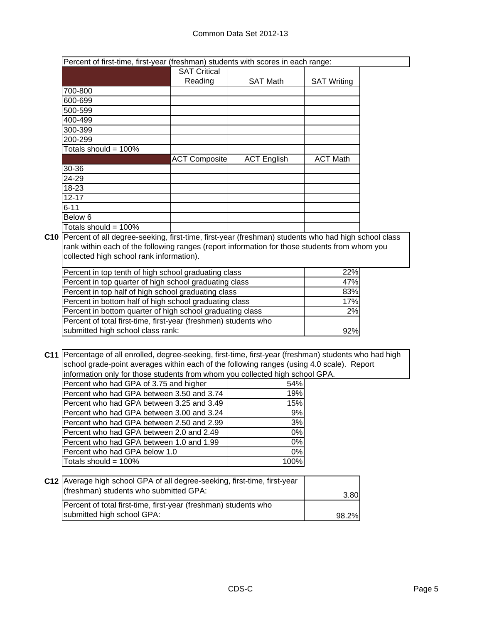| Percent of first-time, first-year (freshman) students with scores in each range: |                      |                    |                    |  |
|----------------------------------------------------------------------------------|----------------------|--------------------|--------------------|--|
|                                                                                  | <b>SAT Critical</b>  |                    |                    |  |
|                                                                                  | Reading              | <b>SAT Math</b>    | <b>SAT Writing</b> |  |
| 700-800                                                                          |                      |                    |                    |  |
| 600-699                                                                          |                      |                    |                    |  |
| 500-599                                                                          |                      |                    |                    |  |
| 400-499                                                                          |                      |                    |                    |  |
| 300-399                                                                          |                      |                    |                    |  |
| 200-299                                                                          |                      |                    |                    |  |
| Totals should = 100%                                                             |                      |                    |                    |  |
|                                                                                  | <b>ACT Composite</b> | <b>ACT English</b> | <b>ACT Math</b>    |  |
| 30-36                                                                            |                      |                    |                    |  |
| 24-29                                                                            |                      |                    |                    |  |
| 18-23                                                                            |                      |                    |                    |  |
| $12 - 17$                                                                        |                      |                    |                    |  |
| $6 - 11$                                                                         |                      |                    |                    |  |
| Below 6                                                                          |                      |                    |                    |  |
| Totals should = 100%                                                             |                      |                    |                    |  |

**C10** Percent of all degree-seeking, first-time, first-year (freshman) students who had high school class rank within each of the following ranges (report information for those students from whom you collected high school rank information).

| Percent in top tenth of high school graduating class            | 22% |
|-----------------------------------------------------------------|-----|
| Percent in top quarter of high school graduating class          | 47% |
| Percent in top half of high school graduating class             | 83% |
| Percent in bottom half of high school graduating class          | 17% |
| Percent in bottom quarter of high school graduating class       | 2%  |
| Percent of total first-time, first-year (freshmen) students who |     |
| submitted high school class rank:                               | 92% |

**C11** Percentage of all enrolled, degree-seeking, first-time, first-year (freshman) students who had high school grade-point averages within each of the following ranges (using 4.0 scale). Report information only for those students from whom you collected high school GPA.

| Percent who had GPA of 3.75 and higher    | 54%              |
|-------------------------------------------|------------------|
| Percent who had GPA between 3.50 and 3.74 | 19%              |
| Percent who had GPA between 3.25 and 3.49 | 15%              |
| Percent who had GPA between 3.00 and 3.24 | 9%               |
| Percent who had GPA between 2.50 and 2.99 | $3\%$            |
| Percent who had GPA between 2.0 and 2.49  | $\overline{0\%}$ |
| Percent who had GPA between 1.0 and 1.99  | $0\%$            |
| Percent who had GPA below 1.0             | $0\%$            |
| Totals should = $100\%$                   | 100%             |

| C12 Average high school GPA of all degree-seeking, first-time, first-year<br>(freshman) students who submitted GPA: | 3.80  |
|---------------------------------------------------------------------------------------------------------------------|-------|
| Percent of total first-time, first-year (freshman) students who                                                     |       |
| submitted high school GPA:                                                                                          | 98.2% |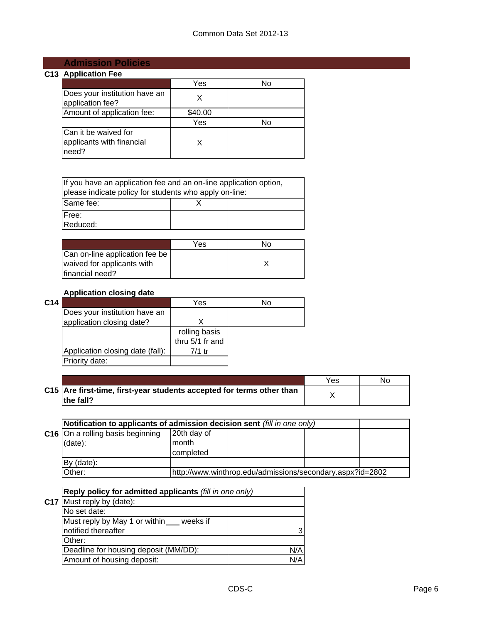# **Admission Policies**

## **C13 Application Fee**

|                                                            | Yes     | N٥ |
|------------------------------------------------------------|---------|----|
| Does your institution have an<br>application fee?          |         |    |
| Amount of application fee:                                 | \$40.00 |    |
|                                                            | Yes     | N٥ |
| Can it be waived for<br>applicants with financial<br>need? |         |    |

| If you have an application fee and an on-line application option,<br>please indicate policy for students who apply on-line: |  |  |  |  |
|-----------------------------------------------------------------------------------------------------------------------------|--|--|--|--|
| Same fee:                                                                                                                   |  |  |  |  |
| IFree:                                                                                                                      |  |  |  |  |
| Reduced:                                                                                                                    |  |  |  |  |

|                                | Yes | חמ |
|--------------------------------|-----|----|
| Can on-line application fee be |     |    |
| waived for applicants with     |     |    |
| financial need?                |     |    |

## **Application closing date**

| C14 |                                  | Yes                              | No |
|-----|----------------------------------|----------------------------------|----|
|     | Does your institution have an    |                                  |    |
|     | application closing date?        |                                  |    |
|     |                                  | rolling basis<br>thru 5/1 fr and |    |
|     |                                  |                                  |    |
|     | Application closing date (fall): | $7/1$ tr                         |    |
|     | Priority date:                   |                                  |    |
|     |                                  |                                  |    |

|                                                                                    | Yes | Nc |
|------------------------------------------------------------------------------------|-----|----|
| C15 Are first-time, first-year students accepted for terms other than<br>the fall? |     |    |

| Notification to applicants of admission decision sent (fill in one only) |             |  |  |  |
|--------------------------------------------------------------------------|-------------|--|--|--|
| C16 On a rolling basis beginning                                         | 20th day of |  |  |  |
| $(data)$ :                                                               | month       |  |  |  |
|                                                                          | completed   |  |  |  |
| By (date):                                                               |             |  |  |  |
| http://www.winthrop.edu/admissions/secondary.aspx?id=2802<br>Other:      |             |  |  |  |

| Reply policy for admitted applicants (fill in one only) |      |  |
|---------------------------------------------------------|------|--|
| C17 Must reply by (date):                               |      |  |
| No set date:                                            |      |  |
| Must reply by May 1 or within ___ weeks if              |      |  |
| notified thereafter                                     | 3    |  |
| Other:                                                  |      |  |
| Deadline for housing deposit (MM/DD):                   | N/Al |  |
| Amount of housing deposit:                              | N/Al |  |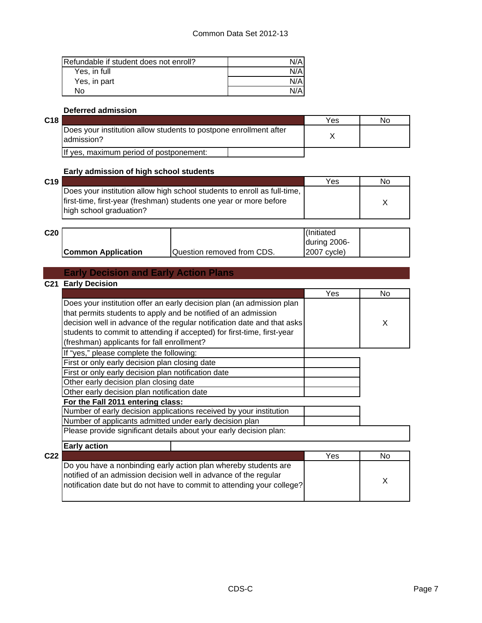| Refundable if student does not enroll? | N/Al |
|----------------------------------------|------|
| Yes, in full                           | N/A  |
| Yes, in part                           | N/A  |
| Nο                                     | N/Al |

#### **Deferred admission**

| ×.<br>×<br>×<br>۰.<br>۰. |
|--------------------------|
|--------------------------|

| C18 |                                                                                 | Yes | No |
|-----|---------------------------------------------------------------------------------|-----|----|
|     | Does your institution allow students to postpone enrollment after<br>admission? |     |    |
|     | If yes, maximum period of postponement:                                         |     |    |

#### **Early admission of high school students**

| C <sub>19</sub> |                                                                          | Yes | No |
|-----------------|--------------------------------------------------------------------------|-----|----|
|                 | Does your institution allow high school students to enroll as full-time, |     |    |
|                 | lfirst-time, first-year (freshman) students one year or more before      |     |    |
|                 | high school graduation?                                                  |     |    |
|                 |                                                                          |     |    |

| C <sub>20</sub> |                           |                            | (Initiated   |
|-----------------|---------------------------|----------------------------|--------------|
|                 |                           |                            | during 2006- |
|                 | <b>Common Application</b> | Question removed from CDS. | 2007 cvcle)  |

## **Early Decision and Early Action Plans**

### **C21 Early Decision** Yes I No X **Early action C22** Yes No. 2014 **Yes No. 2014 For the Fall 2011 entering class:** Number of early decision applications received by your institution Does your institution offer an early decision plan (an admission plan that permits students to apply and be notified of an admission decision well in advance of the regular notification date and that asks students to commit to attending if accepted) for first-time, first-year (freshman) applicants for fall enrollment? If "yes," please complete the following: Other early decision plan closing date Other early decision plan notification date First or only early decision plan closing date First or only early decision plan notification date Number of applicants admitted under early decision plan Please provide significant details about your early decision plan:

| Do you have a nonbinding early action plan whereby students are        |   |
|------------------------------------------------------------------------|---|
| notified of an admission decision well in advance of the regular       |   |
| notification date but do not have to commit to attending your college? | X |
|                                                                        |   |
|                                                                        |   |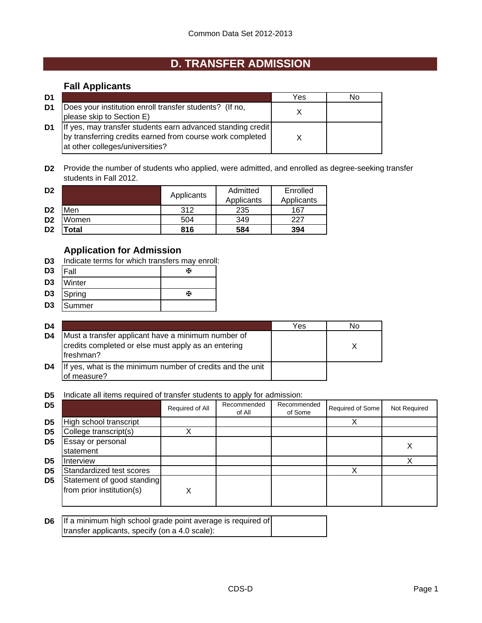# **D. TRANSFER ADMISSION**

## **Fall Applicants**

| D1 |                                                                                                                                                             | Yes | N٥ |
|----|-------------------------------------------------------------------------------------------------------------------------------------------------------------|-----|----|
| D1 | Does your institution enroll transfer students? (If no,<br>please skip to Section E)                                                                        |     |    |
| D1 | If yes, may transfer students earn advanced standing credit<br>by transferring credits earned from course work completed<br>at other colleges/universities? |     |    |

**D2** Provide the number of students who applied, were admitted, and enrolled as degree-seeking transfer students in Fall 2012.

| D <sub>2</sub> |       | Applicants | Admitted   | Enrolled   |
|----------------|-------|------------|------------|------------|
|                |       |            | Applicants | Applicants |
| D <sub>2</sub> | Men   | 312        | 235        | 167        |
| D <sub>2</sub> | Women | 504        | 349        | 227        |
| D <sub>2</sub> | 'otal | 816        | 584        | 394        |

## **Application for Admission**

- **D3** Indicate terms for which transfers may enroll:
- D3 |Fall <del>函</del> **D3** Winter
- 
- **D3** Spring W
- **D3** Summer

| D4 |                                                                                                                         | Yes | No |
|----|-------------------------------------------------------------------------------------------------------------------------|-----|----|
| D4 | Must a transfer applicant have a minimum number of<br>credits completed or else must apply as an entering<br>lfreshman? |     |    |
| D4 | If yes, what is the minimum number of credits and the unit<br>of measure?                                               |     |    |

**D5** Indicate all items required of transfer students to apply for admission:

| D <sub>5</sub> |                                                         | Required of All | Recommended<br>of All | Recommended<br>of Some | Required of Some | Not Required |
|----------------|---------------------------------------------------------|-----------------|-----------------------|------------------------|------------------|--------------|
| D <sub>5</sub> | High school transcript                                  |                 |                       |                        |                  |              |
| D <sub>5</sub> | College transcript(s)                                   |                 |                       |                        |                  |              |
| D5             | Essay or personal<br>statement                          |                 |                       |                        |                  |              |
| D5             | <b>Interview</b>                                        |                 |                       |                        |                  |              |
| D <sub>5</sub> | Standardized test scores                                |                 |                       |                        |                  |              |
| D <sub>5</sub> | Statement of good standing<br>from prior institution(s) | X               |                       |                        |                  |              |

| <b>D6</b> If a minimum high school grade point average is required of |  |
|-----------------------------------------------------------------------|--|
| transfer applicants, specify (on a 4.0 scale):                        |  |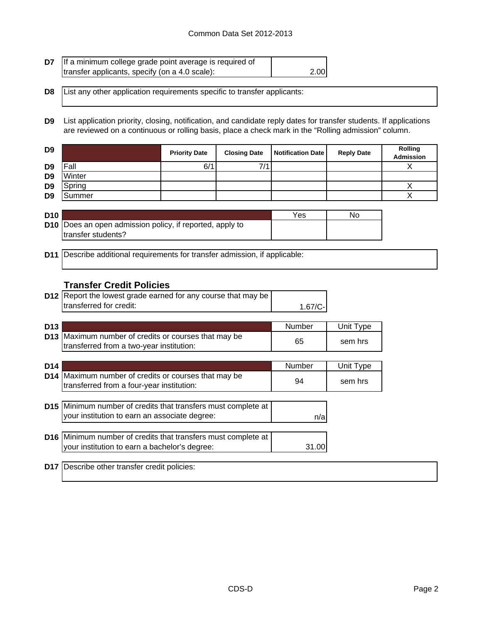| <b>D7</b> If a minimum college grade point average is required of |      |
|-------------------------------------------------------------------|------|
| transfer applicants, specify (on a 4.0 scale):                    | 2.00 |

**D8** List any other application requirements specific to transfer applicants:

**D9** List application priority, closing, notification, and candidate reply dates for transfer students. If applications are reviewed on a continuous or rolling basis, place a check mark in the "Rolling admission" column.

|        | <b>Priority Date</b> | <b>Closing Date</b> | <b>Reply Date</b> | Rolling<br><b>Admission</b> |
|--------|----------------------|---------------------|-------------------|-----------------------------|
| Fall   | 6/1                  | 7/1                 |                   |                             |
| Winter |                      |                     |                   |                             |
| Spring |                      |                     |                   |                             |
| Summer |                      |                     |                   |                             |
|        |                      |                     |                   | Notification Date           |

| D10 |                                                                   | Yes | No |
|-----|-------------------------------------------------------------------|-----|----|
|     | <b>D10</b>   Does an open admission policy, if reported, apply to |     |    |
|     | transfer students?                                                |     |    |

**D11** Describe additional requirements for transfer admission, if applicable:

### **Transfer Credit Policies**

| <b>D12</b> Report the lowest grade earned for any course that may be |           |  |
|----------------------------------------------------------------------|-----------|--|
| transferred for credit:                                              | $1.67/C-$ |  |

| D <sub>13</sub> |                                                                                                  | Number | Unit Type |
|-----------------|--------------------------------------------------------------------------------------------------|--------|-----------|
|                 | D13 Maximum number of credits or courses that may be<br>transferred from a two-year institution: | 65     | sem hrs   |
|                 |                                                                                                  |        |           |
| D <sub>14</sub> |                                                                                                  | Numher | hit Tyne  |

| D <sub>14</sub> |                                                                                                   | <b>Number</b> | Unit Type |
|-----------------|---------------------------------------------------------------------------------------------------|---------------|-----------|
|                 | D14 Maximum number of credits or courses that may be<br>transferred from a four-year institution: | 94            | sem hrs   |
|                 |                                                                                                   |               |           |
|                 | D15 Minimum number of credits that transfers must complete at                                     |               |           |
|                 | your institution to earn an associate degree:                                                     | n/a           |           |
|                 |                                                                                                   |               |           |
|                 | D16 Minimum number of credits that transfers must complete at                                     |               |           |
|                 | your institution to earn a bachelor's degree:                                                     | 31.00         |           |

**D17** Describe other transfer credit policies: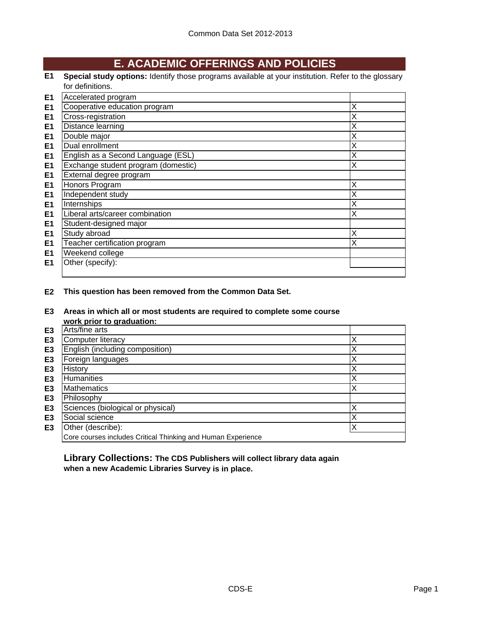## **E. ACADEMIC OFFERINGS AND POLICIES**

**E1 Special study options:** Identify those programs available at your institution. Refer to the glossary for definitions.

| E <sub>1</sub> | Accelerated program                 |   |
|----------------|-------------------------------------|---|
| E <sub>1</sub> | Cooperative education program       | Х |
| E <sub>1</sub> | Cross-registration                  | х |
| E <sub>1</sub> | Distance learning                   | Χ |
| E <sub>1</sub> | Double major                        | Χ |
| E <sub>1</sub> | Dual enrollment                     | Χ |
| E1             | English as a Second Language (ESL)  | Χ |
| E <sub>1</sub> | Exchange student program (domestic) | Χ |
| E <sub>1</sub> | External degree program             |   |
| E <sub>1</sub> | Honors Program                      | X |
| E <sub>1</sub> | Independent study                   | Χ |
| E1             | Internships                         | Χ |
| E1             | Liberal arts/career combination     | Χ |
| E1             | Student-designed major              |   |
| E <sub>1</sub> | Study abroad                        | Χ |
| E <sub>1</sub> | Teacher certification program       | Χ |
| E <sub>1</sub> | Weekend college                     |   |
| E1             | Other (specify):                    |   |
|                |                                     |   |

**E2 This question has been removed from the Common Data Set.**

#### **E3 Areas in which all or most students are required to complete some course work prior to graduation:**

|                | work prior to graduation.                                    |   |
|----------------|--------------------------------------------------------------|---|
| E3             | Arts/fine arts                                               |   |
| E <sub>3</sub> | Computer literacy                                            |   |
| E <sub>3</sub> | English (including composition)                              |   |
| E <sub>3</sub> | Foreign languages                                            |   |
| E <sub>3</sub> | History                                                      |   |
| E <sub>3</sub> | Humanities                                                   |   |
| E <sub>3</sub> | <b>Mathematics</b>                                           | Χ |
| E <sub>3</sub> | Philosophy                                                   |   |
| E <sub>3</sub> | Sciences (biological or physical)                            |   |
| E <sub>3</sub> | Social science                                               |   |
| E <sub>3</sub> | Other (describe):                                            |   |
|                | Core courses includes Critical Thinking and Human Experience |   |

**Library Collections: The CDS Publishers will collect library data again when a new Academic Libraries Survey is in place.**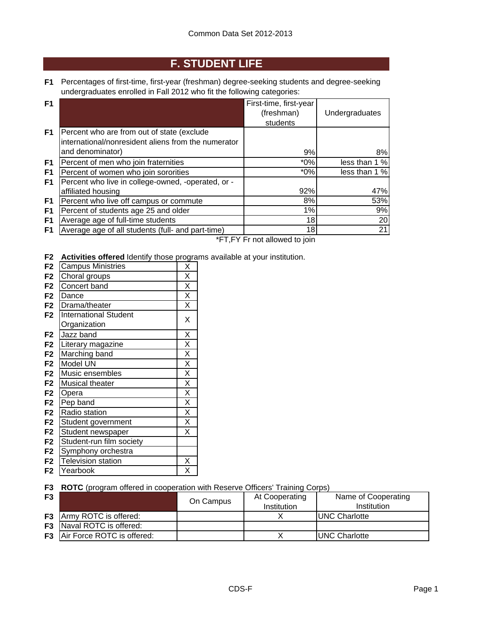# **F. STUDENT LIFE**

**F1** Percentages of first-time, first-year (freshman) degree-seeking students and degree-seeking undergraduates enrolled in Fall 2012 who fit the following categories:

| F <sub>1</sub> |                                                     | First-time, first-year |                |
|----------------|-----------------------------------------------------|------------------------|----------------|
|                |                                                     | (freshman)             | Undergraduates |
|                |                                                     | students               |                |
| F1             | Percent who are from out of state (exclude          |                        |                |
|                | international/nonresident aliens from the numerator |                        |                |
|                | and denominator)                                    | 9%                     | 8%             |
| F1             | Percent of men who join fraternities                | $*0\%$                 | less than 1 %  |
| F1             | Percent of women who join sororities                | $*0\%$                 | less than 1 %  |
| F1             | Percent who live in college-owned, -operated, or -  |                        |                |
|                | affiliated housing                                  | 92%                    | 47%            |
| F1             | Percent who live off campus or commute              | 8%                     | 53%            |
| F1             | Percent of students age 25 and older                | 1%                     | 9%             |
| F <sub>1</sub> | Average age of full-time students                   | 18                     | 20             |
| F1             | Average age of all students (full- and part-time)   | 18                     | 21             |

\*FT,FY Fr not allowed to join

**F2 Activities offered** Identify those programs available at your institution.

| F <sub>2</sub> | <b>Campus Ministries</b>     | Χ                       |
|----------------|------------------------------|-------------------------|
| F <sub>2</sub> | Choral groups                | X                       |
| F <sub>2</sub> | Concert band                 | X                       |
| F <sub>2</sub> | Dance                        | $\overline{\mathsf{x}}$ |
| F <sub>2</sub> | Drama/theater                | X                       |
| F <sub>2</sub> | <b>International Student</b> | Χ                       |
|                | Organization                 |                         |
| F <sub>2</sub> | Jazz band                    | X                       |
| F <sub>2</sub> | Literary magazine            | $\overline{\mathsf{x}}$ |
| F <sub>2</sub> | Marching band                | $\overline{\mathsf{x}}$ |
| F <sub>2</sub> | Model UN                     | $\overline{\mathsf{x}}$ |
| F <sub>2</sub> | Music ensembles              | X                       |
| F <sub>2</sub> | Musical theater              | $\overline{\mathsf{x}}$ |
| F <sub>2</sub> | Opera                        | $\overline{\mathsf{x}}$ |
| F <sub>2</sub> | Pep band                     | $\overline{\mathsf{x}}$ |
| F <sub>2</sub> | Radio station                | $\overline{\mathsf{x}}$ |
| F <sub>2</sub> | Student government           | $\overline{\mathsf{x}}$ |
| F <sub>2</sub> | Student newspaper            | X                       |
| F <sub>2</sub> | Student-run film society     |                         |
| F <sub>2</sub> | Symphony orchestra           |                         |
| F <sub>2</sub> | <b>Television station</b>    | Χ                       |
| F <sub>2</sub> | Yearbook                     | Χ                       |

#### **F3 ROTC** (program offered in cooperation with Reserve Officers' Training Corps)

| F <sub>3</sub> |                                      | On Campus | At Cooperating<br>Institution | Name of Cooperating<br>Institution |
|----------------|--------------------------------------|-----------|-------------------------------|------------------------------------|
|                | <b>F3</b> Army ROTC is offered:      |           |                               | <b>UNC Charlotte</b>               |
|                | <b>F3</b> Naval ROTC is offered:     |           |                               |                                    |
|                | <b>F3</b> Air Force ROTC is offered: |           |                               | <b>UNC Charlotte</b>               |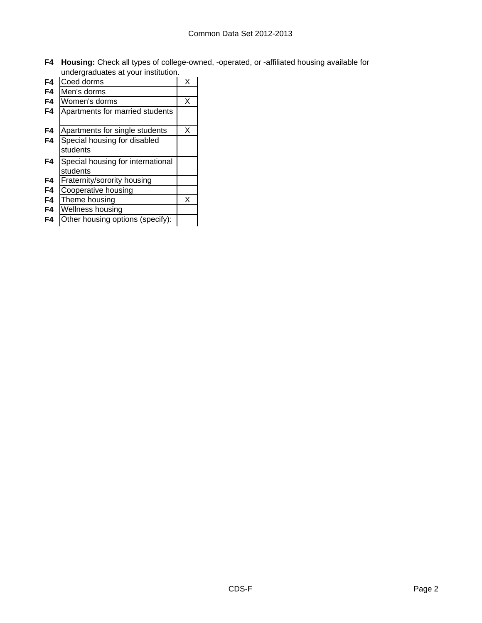**F4 Housing:** Check all types of college-owned, -operated, or -affiliated housing available for undergraduates at your institution.

| F4 | Coed dorms                                                               | x |
|----|--------------------------------------------------------------------------|---|
| F4 | Men's dorms                                                              |   |
| F4 | Women's dorms                                                            | X |
| F4 | Apartments for married students                                          |   |
| F4 | Apartments for single students                                           | X |
| F4 | Special housing for disabled                                             |   |
|    | students                                                                 |   |
| F4 | Special housing for international                                        |   |
|    | students                                                                 |   |
| F4 | Fraternity/sorority housing                                              |   |
| F4 | Cooperative housing                                                      |   |
| F4 | Theme housing                                                            | X |
| F4 | Wellness housing                                                         |   |
|    | $\bigcap A$ and $\bigcup A$ are the set of $A$ and $\bigcap A$<br>14. A. |   |

**F4** Other housing options (specify):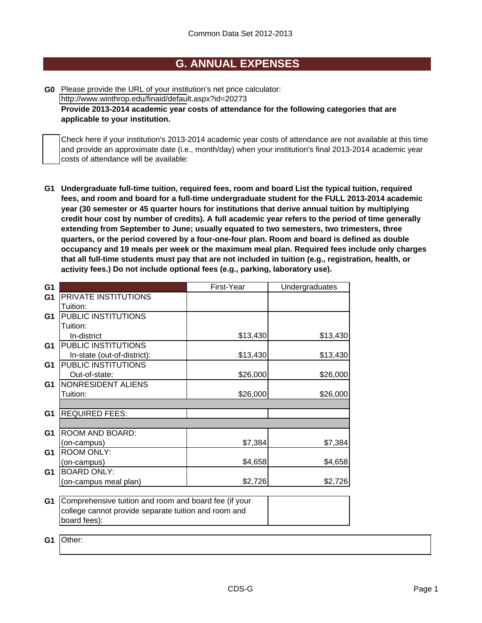## **G. ANNUAL EXPENSES**

**G0** Please provide the URL of your institution's net price calculator: http://www.winthrop.edu/finaid/default.aspx?id=20273

**Provide 2013-2014 academic year costs of attendance for the following categories that are applicable to your institution.**

Check here if your institution's 2013-2014 academic year costs of attendance are not available at this time and provide an approximate date (i.e., month/day) when your institution's final 2013-2014 academic year costs of attendance will be available:

**G1 Undergraduate full-time tuition, required fees, room and board List the typical tuition, required fees, and room and board for a full-time undergraduate student for the FULL 2013-2014 academic year (30 semester or 45 quarter hours for institutions that derive annual tuition by multiplying credit hour cost by number of credits). A full academic year refers to the period of time generally extending from September to June; usually equated to two semesters, two trimesters, three quarters, or the period covered by a four-one-four plan. Room and board is defined as double occupancy and 19 meals per week or the maximum meal plan. Required fees include only charges that all full-time students must pay that are not included in tuition (e.g., registration, health, or activity fees.) Do not include optional fees (e.g., parking, laboratory use).**

| G1             |                                                       | First-Year | Undergraduates |
|----------------|-------------------------------------------------------|------------|----------------|
| G <sub>1</sub> | PRIVATE INSTITUTIONS                                  |            |                |
|                | Tuition:                                              |            |                |
| G1             | PUBLIC INSTITUTIONS                                   |            |                |
|                | Tuition:                                              |            |                |
|                | In-district                                           | \$13,430   | \$13,430       |
| G <sub>1</sub> | PUBLIC INSTITUTIONS                                   |            |                |
|                | In-state (out-of-district):                           | \$13,430   | \$13,430       |
| G <sub>1</sub> | PUBLIC INSTITUTIONS                                   |            |                |
|                | Out-of-state:                                         | \$26,000   | \$26,000       |
| G1             | NONRESIDENT ALIENS                                    |            |                |
|                | Tuition:                                              | \$26,000   | \$26,000       |
|                |                                                       |            |                |
| G <sub>1</sub> | <b>REQUIRED FEES:</b>                                 |            |                |
|                |                                                       |            |                |
| G <sub>1</sub> | ROOM AND BOARD:                                       |            |                |
|                | (on-campus)                                           | \$7,384    | \$7,384        |
| G <sub>1</sub> | <b>ROOM ONLY:</b>                                     |            |                |
|                | (on-campus)                                           | \$4,658    | \$4,658        |
| G <sub>1</sub> | <b>BOARD ONLY:</b>                                    |            |                |
|                | (on-campus meal plan)                                 | \$2,726    | \$2,726        |
|                |                                                       |            |                |
| G <sub>1</sub> | Comprehensive tuition and room and board fee (if your |            |                |
|                | college cannot provide separate tuition and room and  |            |                |
|                | board fees):                                          |            |                |
|                |                                                       |            |                |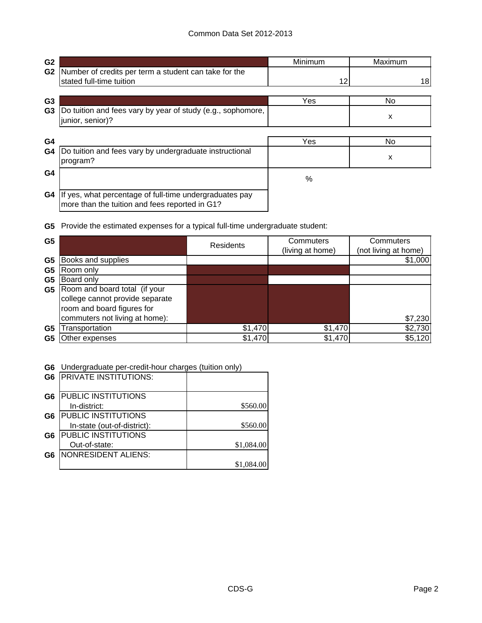| G <sub>2</sub> |                                                                                                           | Minimum | Maximum |
|----------------|-----------------------------------------------------------------------------------------------------------|---------|---------|
| G <sub>2</sub> | Number of credits per term a student can take for the<br>stated full-time tuition                         | 12      | 18      |
| G <sub>3</sub> |                                                                                                           | Yes     | No.     |
| G <sub>3</sub> | Do tuition and fees vary by year of study (e.g., sophomore,<br>junior, senior)?                           |         | x       |
| G4             |                                                                                                           | Yes     | No      |
| G4             | Do tuition and fees vary by undergraduate instructional<br>program?                                       |         | x       |
| G4             |                                                                                                           | %       |         |
| G4             | If yes, what percentage of full-time undergraduates pay<br>more than the tuition and fees reported in G1? |         |         |

**G5** Provide the estimated expenses for a typical full-time undergraduate student:

| G <sub>5</sub> |                                 | Residents | Commuters<br>(living at home) | Commuters<br>(not living at home) |
|----------------|---------------------------------|-----------|-------------------------------|-----------------------------------|
| G <sub>5</sub> | Books and supplies              |           |                               | \$1,000                           |
| G5             | Room only                       |           |                               |                                   |
| G5             | Board only                      |           |                               |                                   |
| G5             | Room and board total (if your   |           |                               |                                   |
|                | college cannot provide separate |           |                               |                                   |
|                | room and board figures for      |           |                               |                                   |
|                | commuters not living at home):  |           |                               | \$7,230                           |
| G5             | Transportation                  | \$1,470   | \$1,470                       | \$2,730                           |
| G5             | Other expenses                  | \$1,470   | \$1,470                       | \$5,120                           |

**G6** Undergraduate per-credit-hour charges (tuition only)

| G <sub>6</sub> | <b>PRIVATE INSTITUTIONS:</b> |            |
|----------------|------------------------------|------------|
| G <sub>6</sub> | <b>PUBLIC INSTITUTIONS</b>   |            |
|                | In-district:                 | \$560.00   |
| G6             | <b>PUBLIC INSTITUTIONS</b>   |            |
|                | In-state (out-of-district):  | \$560.00   |
| G <sub>6</sub> | <b>PUBLIC INSTITUTIONS</b>   |            |
|                | Out-of-state:                | \$1,084.00 |
| G6             | <b>NONRESIDENT ALIENS:</b>   |            |
|                |                              | \$1,084.00 |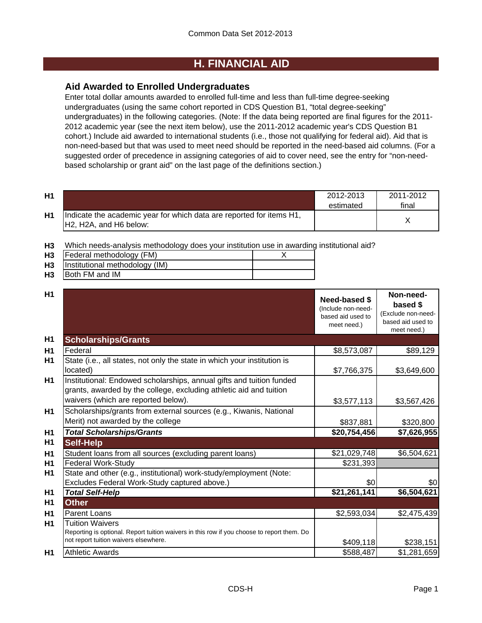## **H. FINANCIAL AID**

## **Aid Awarded to Enrolled Undergraduates**

Enter total dollar amounts awarded to enrolled full-time and less than full-time degree-seeking undergraduates (using the same cohort reported in CDS Question B1, "total degree-seeking" undergraduates) in the following categories. (Note: If the data being reported are final figures for the 2011- 2012 academic year (see the next item below), use the 2011-2012 academic year's CDS Question B1 cohort.) Include aid awarded to international students (i.e., those not qualifying for federal aid). Aid that is non-need-based but that was used to meet need should be reported in the need-based aid columns. (For a suggested order of precedence in assigning categories of aid to cover need, see the entry for "non-needbased scholarship or grant aid" on the last page of the definitions section.)

| H1 |                                                                                                 | 2012-2013<br>estimated | 2011-2012<br>final |
|----|-------------------------------------------------------------------------------------------------|------------------------|--------------------|
| H1 | Indicate the academic year for which data are reported for items H1,<br>IH2, H2A, and H6 below: |                        |                    |

**H3** Which needs-analysis methodology does your institution use in awarding institutional aid?

| H <sub>3</sub> | Federal methodology (FM)       |  |
|----------------|--------------------------------|--|
| H <sub>3</sub> | Institutional methodology (IM) |  |
| H <sub>3</sub> | Both FM and IM                 |  |

| H1             |                                                                                                                                                                                   |                                                                                | Non-need-                                                          |
|----------------|-----------------------------------------------------------------------------------------------------------------------------------------------------------------------------------|--------------------------------------------------------------------------------|--------------------------------------------------------------------|
|                |                                                                                                                                                                                   | <b>Need-based \$</b><br>(Include non-need-<br>based aid used to<br>meet need.) | based \$<br>(Exclude non-need-<br>based aid used to<br>meet need.) |
| H <sub>1</sub> | <b>Scholarships/Grants</b>                                                                                                                                                        |                                                                                |                                                                    |
| H1             | Federal                                                                                                                                                                           | \$8,573,087                                                                    | \$89,129                                                           |
| H1             | State (i.e., all states, not only the state in which your institution is<br>located)                                                                                              | \$7,766,375                                                                    | \$3,649,600                                                        |
| H <sub>1</sub> | Institutional: Endowed scholarships, annual gifts and tuition funded<br>grants, awarded by the college, excluding athletic aid and tuition<br>waivers (which are reported below). |                                                                                |                                                                    |
|                |                                                                                                                                                                                   | \$3,577,113                                                                    | \$3,567,426                                                        |
| H <sub>1</sub> | Scholarships/grants from external sources (e.g., Kiwanis, National<br>Merit) not awarded by the college                                                                           | \$837,881                                                                      | \$320,800                                                          |
| H1             | <b>Total Scholarships/Grants</b>                                                                                                                                                  | \$20,754,456                                                                   | \$7,626,955                                                        |
| H <sub>1</sub> | <b>Self-Help</b>                                                                                                                                                                  |                                                                                |                                                                    |
| H1             | Student loans from all sources (excluding parent loans)                                                                                                                           | \$21,029,748                                                                   | \$6,504,621                                                        |
| H1             | <b>Federal Work-Study</b>                                                                                                                                                         | \$231,393                                                                      |                                                                    |
| H <sub>1</sub> | State and other (e.g., institutional) work-study/employment (Note:                                                                                                                |                                                                                |                                                                    |
|                | Excludes Federal Work-Study captured above.)                                                                                                                                      | \$0                                                                            | \$0                                                                |
| H <sub>1</sub> | <b>Total Self-Help</b>                                                                                                                                                            | \$21,261,141                                                                   | \$6,504,621                                                        |
| H1             | <b>Other</b>                                                                                                                                                                      |                                                                                |                                                                    |
| H1             | Parent Loans                                                                                                                                                                      | \$2,593,034                                                                    | \$2,475,439                                                        |
| H1             | <b>Tuition Waivers</b><br>Reporting is optional. Report tuition waivers in this row if you choose to report them. Do<br>not report tuition waivers elsewhere.                     | \$409,118                                                                      | \$238,151                                                          |
| H1             | <b>Athletic Awards</b>                                                                                                                                                            | \$588,487                                                                      | \$1,281,659                                                        |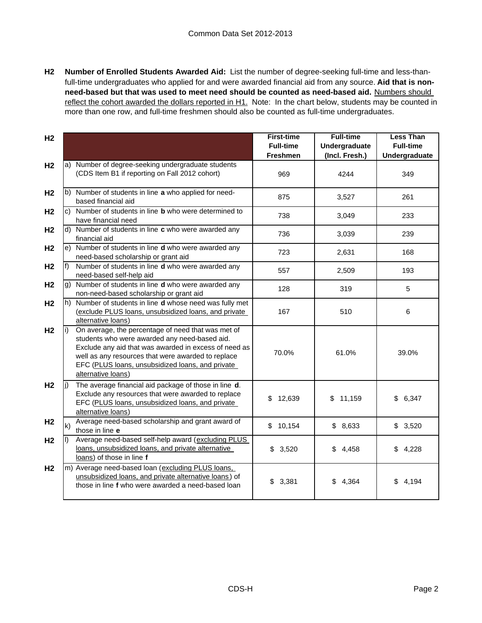**H2 Number of Enrolled Students Awarded Aid:** List the number of degree-seeking full-time and less-thanfull-time undergraduates who applied for and were awarded financial aid from any source. **Aid that is nonneed-based but that was used to meet need should be counted as need-based aid.** Numbers should reflect the cohort awarded the dollars reported in H1. Note: In the chart below, students may be counted in more than one row, and full-time freshmen should also be counted as full-time undergraduates.

| H <sub>2</sub> |       |                                                                                                                                                                                                                                                                                              | <b>First-time</b><br><b>Full-time</b><br>Freshmen | <b>Full-time</b><br>Undergraduate<br>(Incl. Fresh.) | <b>Less Than</b><br><b>Full-time</b><br>Undergraduate |
|----------------|-------|----------------------------------------------------------------------------------------------------------------------------------------------------------------------------------------------------------------------------------------------------------------------------------------------|---------------------------------------------------|-----------------------------------------------------|-------------------------------------------------------|
| H <sub>2</sub> |       | a) Number of degree-seeking undergraduate students<br>(CDS Item B1 if reporting on Fall 2012 cohort)                                                                                                                                                                                         | 969                                               | 4244                                                | 349                                                   |
| H <sub>2</sub> |       | b) Number of students in line a who applied for need-<br>based financial aid                                                                                                                                                                                                                 | 875                                               | 3,527                                               | 261                                                   |
| H <sub>2</sub> |       | c) Number of students in line <b>b</b> who were determined to<br>have financial need                                                                                                                                                                                                         | 738                                               | 3,049                                               | 233                                                   |
| H <sub>2</sub> |       | d) Number of students in line c who were awarded any<br>financial aid                                                                                                                                                                                                                        | 736                                               | 3,039                                               | 239                                                   |
| H <sub>2</sub> |       | e) Number of students in line d who were awarded any<br>need-based scholarship or grant aid                                                                                                                                                                                                  | 723                                               | 2,631                                               | 168                                                   |
| H <sub>2</sub> | $f$ ) | Number of students in line d who were awarded any<br>need-based self-help aid                                                                                                                                                                                                                | 557                                               | 2,509                                               | 193                                                   |
| H <sub>2</sub> |       | g) Number of students in line <b>d</b> who were awarded any<br>non-need-based scholarship or grant aid                                                                                                                                                                                       | 128                                               | 319                                                 | 5                                                     |
| H <sub>2</sub> |       | h) Number of students in line <b>d</b> whose need was fully met<br>(exclude PLUS loans, unsubsidized loans, and private<br>alternative loans)                                                                                                                                                | 167                                               | 510                                                 | 6                                                     |
| H <sub>2</sub> |       | On average, the percentage of need that was met of<br>students who were awarded any need-based aid.<br>Exclude any aid that was awarded in excess of need as<br>well as any resources that were awarded to replace<br>EFC (PLUS loans, unsubsidized loans, and private<br>alternative loans) | 70.0%                                             | 61.0%                                               | 39.0%                                                 |
| H <sub>2</sub> | li)   | The average financial aid package of those in line d.<br>Exclude any resources that were awarded to replace<br>EFC (PLUS loans, unsubsidized loans, and private<br>alternative loans)                                                                                                        | \$<br>12,639                                      | \$11,159                                            | \$<br>6,347                                           |
| H <sub>2</sub> | k)    | Average need-based scholarship and grant award of<br>those in line e                                                                                                                                                                                                                         | \$10,154                                          | \$8,633                                             | \$3,520                                               |
| H <sub>2</sub> | II)   | Average need-based self-help award (excluding PLUS<br>loans, unsubsidized loans, and private alternative<br>loans) of those in line f                                                                                                                                                        | \$3,520                                           | \$4,458                                             | \$4,228                                               |
| H <sub>2</sub> |       | m) Average need-based loan (excluding PLUS loans,<br>unsubsidized loans, and private alternative loans) of<br>those in line f who were awarded a need-based loan                                                                                                                             | \$3,381                                           | \$4,364                                             | \$<br>4,194                                           |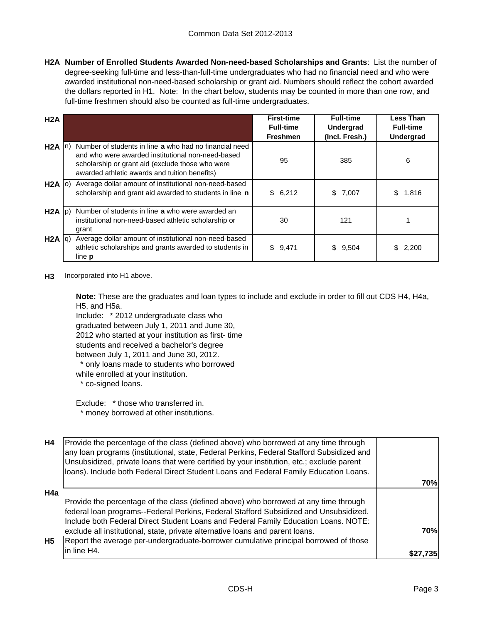**H2A Number of Enrolled Students Awarded Non-need-based Scholarships and Grants**: List the number of degree-seeking full-time and less-than-full-time undergraduates who had no financial need and who were awarded institutional non-need-based scholarship or grant aid. Numbers should reflect the cohort awarded the dollars reported in H1. Note: In the chart below, students may be counted in more than one row, and full-time freshmen should also be counted as full-time undergraduates.

| H2A               |                                                                                                                                                                                                                  | <b>First-time</b><br><b>Full-time</b> | <b>Full-time</b><br><b>Undergrad</b> | <b>Less Than</b><br><b>Full-time</b> |
|-------------------|------------------------------------------------------------------------------------------------------------------------------------------------------------------------------------------------------------------|---------------------------------------|--------------------------------------|--------------------------------------|
|                   |                                                                                                                                                                                                                  | <b>Freshmen</b>                       | (Incl. Fresh.)                       | Undergrad                            |
| $H2A \mid n$      | Number of students in line a who had no financial need<br>and who were awarded institutional non-need-based<br>scholarship or grant aid (exclude those who were<br>awarded athletic awards and tuition benefits) | 95                                    | 385                                  | 6                                    |
| $H2A$ (0)         | Average dollar amount of institutional non-need-based<br>scholarship and grant aid awarded to students in line n                                                                                                 | \$6,212                               | \$7,007                              | 1,816<br>S                           |
| $H2A$ $ p\rangle$ | Number of students in line a who were awarded an<br>institutional non-need-based athletic scholarship or<br>grant                                                                                                | 30                                    | 121                                  |                                      |
| $H2A$ $ q\rangle$ | Average dollar amount of institutional non-need-based<br>athletic scholarships and grants awarded to students in<br>line <b>p</b>                                                                                | \$9,471                               | 9,504<br>S.                          | 2,200                                |

#### **H3** Incorporated into H1 above.

**Note:** These are the graduates and loan types to include and exclude in order to fill out CDS H4, H4a, H5, and H5a.

Include: \* 2012 undergraduate class who graduated between July 1, 2011 and June 30, 2012 who started at your institution as first- time students and received a bachelor's degree between July 1, 2011 and June 30, 2012. \* only loans made to students who borrowed while enrolled at your institution.

\* co-signed loans.

Exclude: \* those who transferred in. \* money borrowed at other institutions.

| H4        | Provide the percentage of the class (defined above) who borrowed at any time through<br>any loan programs (institutional, state, Federal Perkins, Federal Stafford Subsidized and<br>Unsubsidized, private loans that were certified by your institution, etc.; exclude parent<br>loans). Include both Federal Direct Student Loans and Federal Family Education Loans. |            |
|-----------|-------------------------------------------------------------------------------------------------------------------------------------------------------------------------------------------------------------------------------------------------------------------------------------------------------------------------------------------------------------------------|------------|
|           |                                                                                                                                                                                                                                                                                                                                                                         | 70%        |
| H4a       |                                                                                                                                                                                                                                                                                                                                                                         |            |
|           | Provide the percentage of the class (defined above) who borrowed at any time through                                                                                                                                                                                                                                                                                    |            |
|           | federal loan programs--Federal Perkins, Federal Stafford Subsidized and Unsubsidized.                                                                                                                                                                                                                                                                                   |            |
|           | Include both Federal Direct Student Loans and Federal Family Education Loans. NOTE:                                                                                                                                                                                                                                                                                     |            |
|           | exclude all institutional, state, private alternative loans and parent loans.                                                                                                                                                                                                                                                                                           | <b>70%</b> |
| <b>H5</b> | Report the average per-undergraduate-borrower cumulative principal borrowed of those                                                                                                                                                                                                                                                                                    |            |
|           | in line H4.                                                                                                                                                                                                                                                                                                                                                             |            |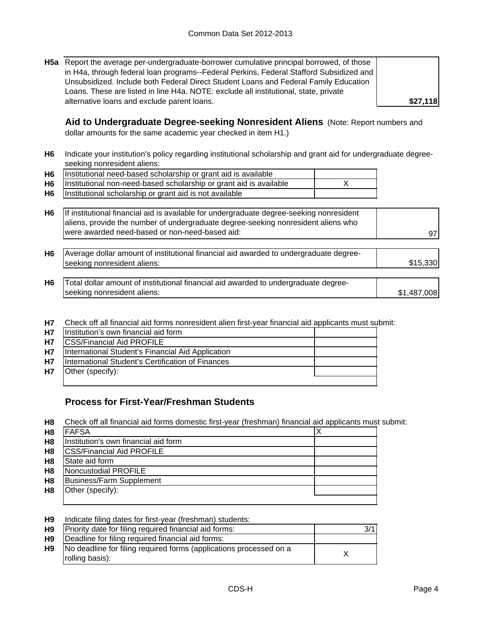**H5a** Report the average per-undergraduate-borrower cumulative principal borrowed, of those in H4a, through federal loan programs--Federal Perkins, Federal Stafford Subsidized and Unsubsidized. Include both Federal Direct Student Loans and Federal Family Education Loans. These are listed in line H4a. NOTE: exclude all institutional, state, private alternative loans and exclude parent loans.

**\$27,118**

**Aid to Undergraduate Degree-seeking Nonresident Aliens** (Note: Report numbers and dollar amounts for the same academic year checked in item H1.)

**H6** Indicate your institution's policy regarding institutional scholarship and grant aid for undergraduate degreeseeking nonresident aliens:

| H6   Institutional need-based scholarship or grant aid is available   |  |
|-----------------------------------------------------------------------|--|
| H6 Institutional non-need-based scholarship or grant aid is available |  |
| H6   Institutional scholarship or grant aid is not available          |  |

| H6 If institutional financial aid is available for undergraduate degree-seeking nonresident |    |
|---------------------------------------------------------------------------------------------|----|
| aliens, provide the number of undergraduate degree-seeking nonresident aliens who           |    |
| were awarded need-based or non-need-based aid:                                              | 97 |

- **H6** \$15,330 Average dollar amount of institutional financial aid awarded to undergraduate degreeseeking nonresident aliens:
- **H6** \$1,487,008 Total dollar amount of institutional financial aid awarded to undergraduate degreeseeking nonresident aliens:
- **H7** Check off all financial aid forms nonresident alien first-year financial aid applicants must submit:

| <b>H7</b> | Institution's own financial aid form              |  |
|-----------|---------------------------------------------------|--|
| <b>H7</b> | <b>CSS/Financial Aid PROFILE</b>                  |  |
| <b>H7</b> | International Student's Financial Aid Application |  |
| <b>H7</b> | International Student's Certification of Finances |  |
| <b>H7</b> | Other (specify):                                  |  |
|           |                                                   |  |

## **Process for First-Year/Freshman Students**

**H8** Check off all financial aid forms domestic first-year (freshman) financial aid applicants must submit:

| H <sub>8</sub> | <b>FAFSA</b>                         |  |
|----------------|--------------------------------------|--|
| H <sub>8</sub> | Institution's own financial aid form |  |
| H <sub>8</sub> | <b>ICSS/Financial Aid PROFILE</b>    |  |
| H <sub>8</sub> | State aid form                       |  |
| H <sub>8</sub> | Noncustodial PROFILE                 |  |
| H <sub>8</sub> | <b>Business/Farm Supplement</b>      |  |
| H <sub>8</sub> | Other (specify):                     |  |
|                |                                      |  |

| H <sub>9</sub> | Indicate filing dates for first-year (freshman) students:                             |     |
|----------------|---------------------------------------------------------------------------------------|-----|
| H9             | Priority date for filing required financial aid forms:                                | 3/1 |
| H9             | Deadline for filing required financial aid forms:                                     |     |
| H9             | No deadline for filing required forms (applications processed on a<br>rolling basis): |     |
|                |                                                                                       |     |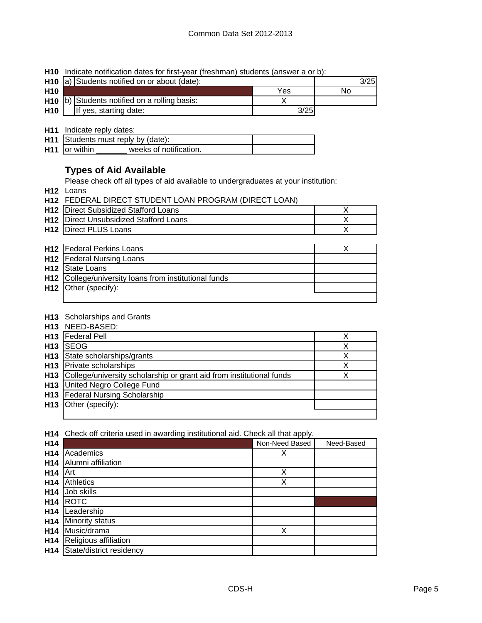**H10** Indicate notification dates for first-year (freshman) students (answer a or b):

|                 | H <sub>10</sub> a) Students notified on or about (date):  |      | 3/25 |
|-----------------|-----------------------------------------------------------|------|------|
| H <sub>10</sub> |                                                           | Yes  | No   |
|                 | H <sub>10</sub> (b) Students notified on a rolling basis: |      |      |
| H <sub>10</sub> | If yes, starting date:                                    | 3/25 |      |

**H11** Indicate reply dates:

|                      | H11 Students must reply by (date): |  |
|----------------------|------------------------------------|--|
| <b>H11</b> or within | weeks of notification.             |  |

## **Types of Aid Available**

Please check off all types of aid available to undergraduates at your institution:

**H12** Loans

| <b>H12 FEDERAL DIRECT STUDENT LOAN PROGRAM (DIRECT LOAN)</b> |  |
|--------------------------------------------------------------|--|
|                                                              |  |

| <b>H12</b> Direct Subsidized Stafford Loans   |  |
|-----------------------------------------------|--|
| <b>H12</b> Direct Unsubsidized Stafford Loans |  |
| <b>H12</b> Direct PLUS Loans                  |  |

| <b>H12</b> Federal Perkins Loans                      |  |
|-------------------------------------------------------|--|
| <b>H12</b>   Federal Nursing Loans                    |  |
| H <sub>12</sub> State Loans                           |  |
| H12 College/university loans from institutional funds |  |
| H <sub>12</sub> Other (specify):                      |  |
|                                                       |  |

#### **H13** Scholarships and Grants

|            | H13 NEED-BASED:                                                          |   |
|------------|--------------------------------------------------------------------------|---|
|            | H <sub>13</sub>   Federal Pell                                           |   |
| <b>H13</b> | <b>ISEOG</b>                                                             | х |
|            | H <sub>13</sub> State scholarships/grants                                |   |
|            | <b>H13</b> Private scholarships                                          |   |
|            | H13 College/university scholarship or grant aid from institutional funds |   |
|            | <b>H13</b> United Negro College Fund                                     |   |
|            | H13   Federal Nursing Scholarship                                        |   |
|            | H <sub>13</sub> Other (specify):                                         |   |
|            |                                                                          |   |

**H14** Check off criteria used in awarding institutional aid. Check all that apply.

| H14             |                          | Non-Need Based | Need-Based |
|-----------------|--------------------------|----------------|------------|
| H <sub>14</sub> | Academics                | Х              |            |
| H <sub>14</sub> | Alumni affiliation       |                |            |
| H <sub>14</sub> | Art                      | Χ              |            |
| H <sub>14</sub> | <b>Athletics</b>         | X              |            |
| H <sub>14</sub> | Job skills               |                |            |
| H <sub>14</sub> | <b>ROTC</b>              |                |            |
| H <sub>14</sub> | Leadership               |                |            |
| H <sub>14</sub> | Minority status          |                |            |
| H <sub>14</sub> | Music/drama              | Χ              |            |
| H <sub>14</sub> | Religious affiliation    |                |            |
| H <sub>14</sub> | State/district residency |                |            |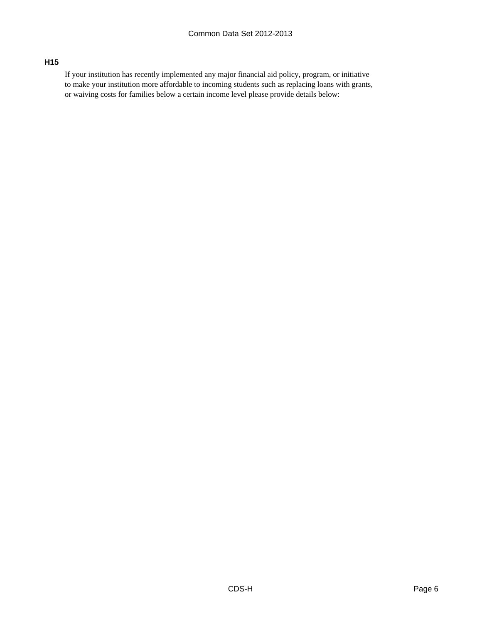### **H15**

If your institution has recently implemented any major financial aid policy, program, or initiative to make your institution more affordable to incoming students such as replacing loans with grants, or waiving costs for families below a certain income level please provide details below: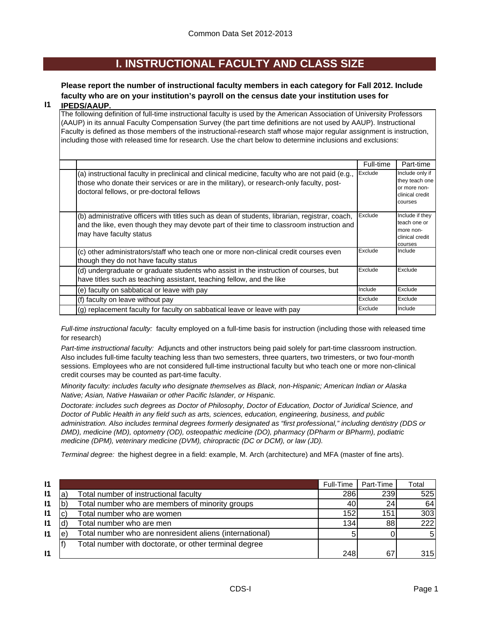## **I. INSTRUCTIONAL FACULTY AND CLASS SIZE**

## **Please report the number of instructional faculty members in each category for Fall 2012. Include faculty who are on your institution's payroll on the census date your institution uses for**

#### **I1 IPEDS/AAUP.**

The following definition of full-time instructional faculty is used by the American Association of University Professors (AAUP) in its annual Faculty Compensation Survey (the part time definitions are not used by AAUP). Instructional Faculty is defined as those members of the instructional-research staff whose major regular assignment is instruction, including those with released time for research. Use the chart below to determine inclusions and exclusions:

|                                                                                                                                                                                                                                          | Full-time | Part-time                                                                       |
|------------------------------------------------------------------------------------------------------------------------------------------------------------------------------------------------------------------------------------------|-----------|---------------------------------------------------------------------------------|
| (a) instructional faculty in preclinical and clinical medicine, faculty who are not paid (e.g.,<br>those who donate their services or are in the military), or research-only faculty, post-<br>doctoral fellows, or pre-doctoral fellows | Exclude   | Include only if<br>they teach one<br>or more non-<br>clinical credit<br>courses |
| (b) administrative officers with titles such as dean of students, librarian, registrar, coach,<br>and the like, even though they may devote part of their time to classroom instruction and<br>may have faculty status                   | Exclude   | Include if they<br>teach one or<br>more non-<br>clinical credit<br>courses      |
| (c) other administrators/staff who teach one or more non-clinical credit courses even<br>though they do not have faculty status                                                                                                          | Exclude   | Include                                                                         |
| (d) undergraduate or graduate students who assist in the instruction of courses, but<br>have titles such as teaching assistant, teaching fellow, and the like                                                                            | Exclude   | Exclude                                                                         |
| (e) faculty on sabbatical or leave with pay                                                                                                                                                                                              | Include   | Exclude                                                                         |
| (f) faculty on leave without pay                                                                                                                                                                                                         | Exclude   | Exclude                                                                         |
| (g) replacement faculty for faculty on sabbatical leave or leave with pay                                                                                                                                                                | Exclude   | Include                                                                         |

*Full-time instructional faculty:* faculty employed on a full-time basis for instruction (including those with released time for research)

*Part-time instructional faculty:* Adjuncts and other instructors being paid solely for part-time classroom instruction. Also includes full-time faculty teaching less than two semesters, three quarters, two trimesters, or two four-month sessions. Employees who are not considered full-time instructional faculty but who teach one or more non-clinical credit courses may be counted as part-time faculty.

*Minority faculty: includes faculty who designate themselves as Black, non-Hispanic; American Indian or Alaska Native; Asian, Native Hawaiian or other Pacific Islander, or Hispanic.* 

*Doctorate: includes such degrees as Doctor of Philosophy, Doctor of Education, Doctor of Juridical Science, and Doctor of Public Health in any field such as arts, sciences, education, engineering, business, and public administration. Also includes terminal degrees formerly designated as "first professional," including dentistry (DDS or DMD), medicine (MD), optometry (OD), osteopathic medicine (DO), pharmacy (DPharm or BPharm), podiatric medicine (DPM), veterinary medicine (DVM), chiropractic (DC or DCM), or law (JD).*

*Terminal degree:* the highest degree in a field: example, M. Arch (architecture) and MFA (master of fine arts).

| $\mathsf{I}$ |   |                                                         | Full-Time | Part-Time       | Total          |
|--------------|---|---------------------------------------------------------|-----------|-----------------|----------------|
| $\mathsf{I}$ | a | Total number of instructional faculty                   | 286       | 239             | 525            |
| 11           |   | Total number who are members of minority groups         | 40        | 24 <sub>l</sub> | 64             |
| $\mathsf{I}$ |   | Total number who are women                              | 152       | 151             | 303            |
| $\mathsf{I}$ |   | Total number who are men                                | 134       | 88              | 222            |
| $\mathsf{I}$ | е | Total number who are nonresident aliens (international) |           |                 | 5 <sup>1</sup> |
|              |   | Total number with doctorate, or other terminal degree   |           |                 |                |
| $\mathsf{I}$ |   |                                                         | 248       | 67              | 315            |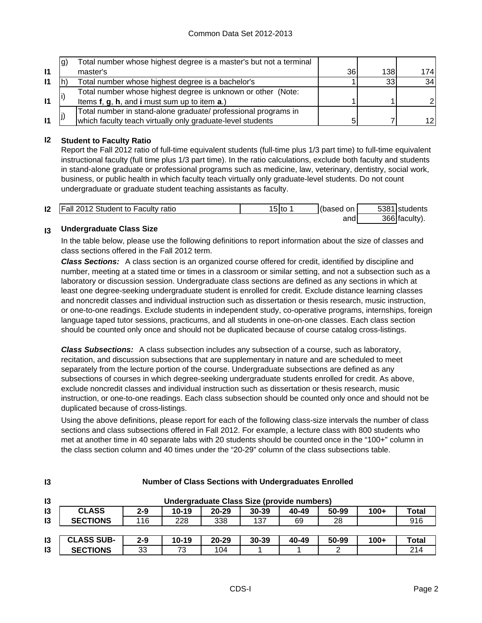|              | lg) | Total number whose highest degree is a master's but not a terminal |    |     |      |
|--------------|-----|--------------------------------------------------------------------|----|-----|------|
| $\mathbf{I}$ |     | master's                                                           | 36 | 138 | 1741 |
| $\mathsf{I}$ |     | Total number whose highest degree is a bachelor's                  |    | 33  | 34   |
|              |     | Total number whose highest degree is unknown or other (Note:       |    |     |      |
| $\mathbf{I}$ |     | Items f, g, h, and i must sum up to item a.)                       |    |     |      |
|              |     | Total number in stand-alone graduate/ professional programs in     |    |     |      |
| $\mathbf{I}$ |     | which faculty teach virtually only graduate-level students         |    |     | 12I  |

### **I2 Student to Faculty Ratio**

Report the Fall 2012 ratio of full-time equivalent students (full-time plus 1/3 part time) to full-time equivalent instructional faculty (full time plus 1/3 part time). In the ratio calculations, exclude both faculty and students in stand-alone graduate or professional programs such as medicine, law, veterinary, dentistry, social work, business, or public health in which faculty teach virtually only graduate-level students. Do not count undergraduate or graduate student teaching assistants as faculty.

| $\mathsf{I2}$ | Fall 2012 Student to Faculty ratio | 15 Ito | (based on | 5381 students |
|---------------|------------------------------------|--------|-----------|---------------|
|               |                                    |        | and       | 366 faculty). |

#### **I3 Undergraduate Class Size**

**I3**

In the table below, please use the following definitions to report information about the size of classes and class sections offered in the Fall 2012 term.

*Class Sections:* A class section is an organized course offered for credit, identified by discipline and number, meeting at a stated time or times in a classroom or similar setting, and not a subsection such as a laboratory or discussion session. Undergraduate class sections are defined as any sections in which at least one degree-seeking undergraduate student is enrolled for credit. Exclude distance learning classes and noncredit classes and individual instruction such as dissertation or thesis research, music instruction, or one-to-one readings. Exclude students in independent study, co-operative programs, internships, foreign language taped tutor sessions, practicums, and all students in one-on-one classes. Each class section should be counted only once and should not be duplicated because of course catalog cross-listings.

*Class Subsections:* A class subsection includes any subsection of a course, such as laboratory, recitation, and discussion subsections that are supplementary in nature and are scheduled to meet separately from the lecture portion of the course. Undergraduate subsections are defined as any subsections of courses in which degree-seeking undergraduate students enrolled for credit. As above, exclude noncredit classes and individual instruction such as dissertation or thesis research, music instruction, or one-to-one readings. Each class subsection should be counted only once and should not be duplicated because of cross-listings.

Using the above definitions, please report for each of the following class-size intervals the number of class sections and class subsections offered in Fall 2012. For example, a lecture class with 800 students who met at another time in 40 separate labs with 20 students should be counted once in the "100+" column in the class section column and 40 times under the "20-29" column of the class subsections table.

| 13             | Undergraduate Class Size (provide numbers) |         |           |           |           |       |       |        |       |
|----------------|--------------------------------------------|---------|-----------|-----------|-----------|-------|-------|--------|-------|
| 13             | <b>CLASS</b>                               | $2 - 9$ | $10 - 19$ | $20 - 29$ | $30 - 39$ | 40-49 | 50-99 | $100+$ | Total |
| $\mathsf{I}3$  | <b>SECTIONS</b>                            | 116     | 228       | 338       | 137       | 69    | 28    |        | 916   |
|                |                                            |         |           |           |           |       |       |        |       |
| 13             | <b>CLASS SUB-</b>                          | $2 - 9$ | $10 - 19$ | $20 - 29$ | 30-39     | 40-49 | 50-99 | $100+$ | Total |
| $\overline{3}$ | <b>SECTIONS</b>                            | 33      | 73        | 104       |           |       |       |        | 214   |

#### **Number of Class Sections with Undergraduates Enrolled**